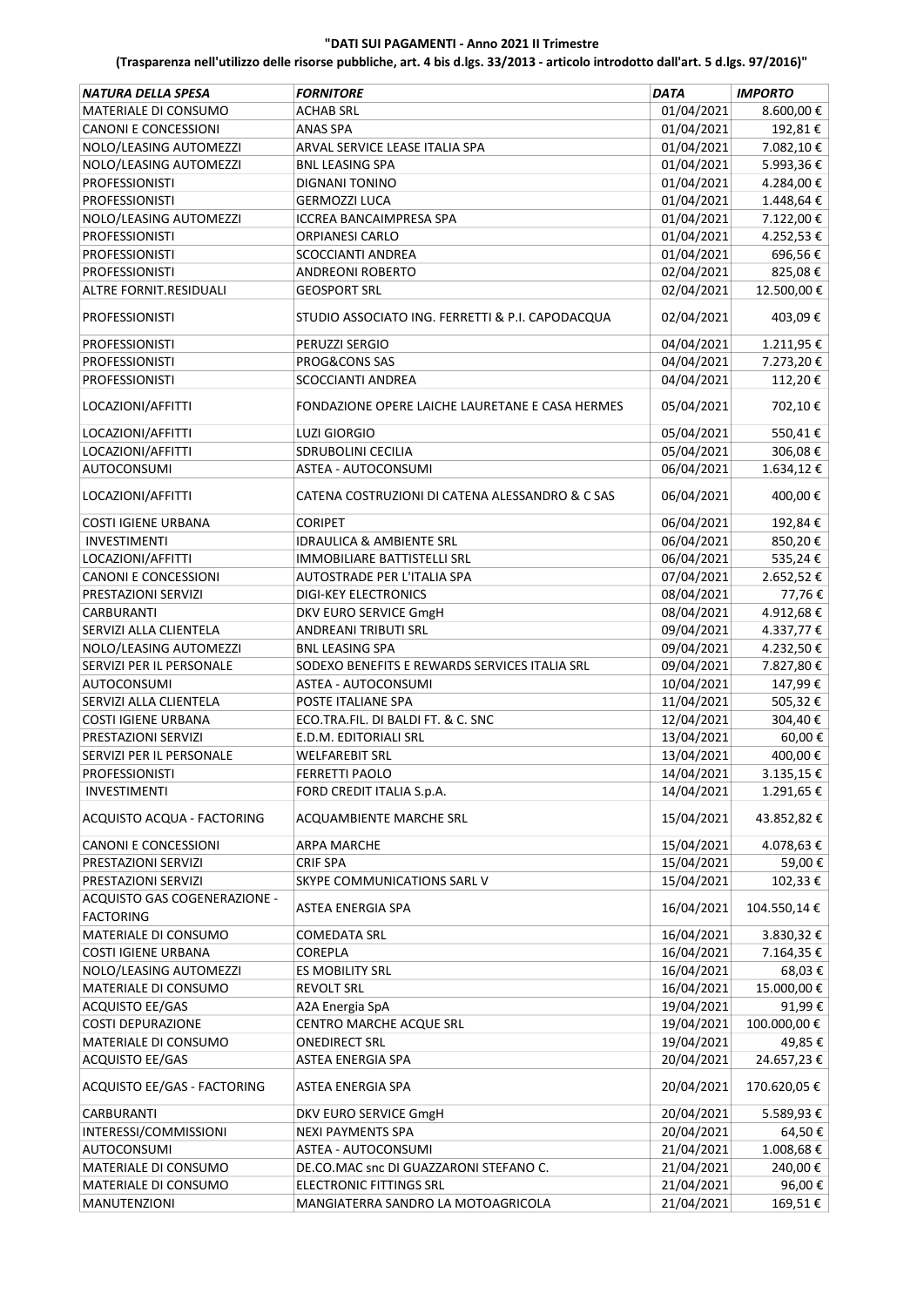| <b>NATURA DELLA SPESA</b>                        | <b>FORNITORE</b>                                 | DATA       | <b>IMPORTO</b> |
|--------------------------------------------------|--------------------------------------------------|------------|----------------|
| MATERIALE DI CONSUMO                             | <b>ACHAB SRL</b>                                 | 01/04/2021 | 8.600,00€      |
| <b>CANONI E CONCESSIONI</b>                      | <b>ANAS SPA</b>                                  | 01/04/2021 | 192,81€        |
| NOLO/LEASING AUTOMEZZI                           | ARVAL SERVICE LEASE ITALIA SPA                   | 01/04/2021 | 7.082,10€      |
| NOLO/LEASING AUTOMEZZI                           | <b>BNL LEASING SPA</b>                           | 01/04/2021 | 5.993,36€      |
| <b>PROFESSIONISTI</b>                            | DIGNANI TONINO                                   | 01/04/2021 | 4.284,00€      |
| <b>PROFESSIONISTI</b>                            | <b>GERMOZZI LUCA</b>                             | 01/04/2021 | 1.448,64€      |
| NOLO/LEASING AUTOMEZZI                           | ICCREA BANCAIMPRESA SPA                          | 01/04/2021 | 7.122,00€      |
| <b>PROFESSIONISTI</b>                            | ORPIANESI CARLO                                  | 01/04/2021 | 4.252,53€      |
| <b>PROFESSIONISTI</b>                            | SCOCCIANTI ANDREA                                | 01/04/2021 | 696,56€        |
| PROFESSIONISTI                                   | <b>ANDREONI ROBERTO</b>                          | 02/04/2021 | 825,08€        |
| ALTRE FORNIT.RESIDUALI                           | <b>GEOSPORT SRL</b>                              | 02/04/2021 | 12.500,00€     |
| <b>PROFESSIONISTI</b>                            | STUDIO ASSOCIATO ING. FERRETTI & P.I. CAPODACQUA | 02/04/2021 | 403,09€        |
| <b>PROFESSIONISTI</b>                            | PERUZZI SERGIO                                   | 04/04/2021 | 1.211,95€      |
| <b>PROFESSIONISTI</b>                            | PROG&CONS SAS                                    | 04/04/2021 | 7.273,20€      |
| PROFESSIONISTI                                   | <b>SCOCCIANTI ANDREA</b>                         | 04/04/2021 | 112,20€        |
|                                                  |                                                  |            |                |
| LOCAZIONI/AFFITTI                                | FONDAZIONE OPERE LAICHE LAURETANE E CASA HERMES  | 05/04/2021 | 702,10€        |
| LOCAZIONI/AFFITTI                                | <b>LUZI GIORGIO</b>                              | 05/04/2021 | 550,41€        |
| LOCAZIONI/AFFITTI                                | SDRUBOLINI CECILIA                               | 05/04/2021 | 306,08€        |
| <b>AUTOCONSUMI</b>                               | ASTEA - AUTOCONSUMI                              | 06/04/2021 | 1.634,12€      |
| LOCAZIONI/AFFITTI                                | CATENA COSTRUZIONI DI CATENA ALESSANDRO & C SAS  | 06/04/2021 | 400,00€        |
| <b>COSTI IGIENE URBANA</b>                       | <b>CORIPET</b>                                   | 06/04/2021 | 192,84€        |
| <b>INVESTIMENTI</b>                              | <b>IDRAULICA &amp; AMBIENTE SRL</b>              | 06/04/2021 | 850,20€        |
| LOCAZIONI/AFFITTI                                | IMMOBILIARE BATTISTELLI SRL                      | 06/04/2021 | 535,24€        |
| <b>CANONI E CONCESSIONI</b>                      | AUTOSTRADE PER L'ITALIA SPA                      | 07/04/2021 | 2.652,52€      |
| PRESTAZIONI SERVIZI                              | <b>DIGI-KEY ELECTRONICS</b>                      | 08/04/2021 | 77,76€         |
| <b>CARBURANTI</b>                                | DKV EURO SERVICE GmgH                            | 08/04/2021 | 4.912,68€      |
| SERVIZI ALLA CLIENTELA                           | <b>ANDREANI TRIBUTI SRL</b>                      | 09/04/2021 | 4.337,77€      |
| NOLO/LEASING AUTOMEZZI                           | <b>BNL LEASING SPA</b>                           | 09/04/2021 | 4.232,50€      |
| SERVIZI PER IL PERSONALE                         | SODEXO BENEFITS E REWARDS SERVICES ITALIA SRL    | 09/04/2021 | 7.827,80€      |
| <b>AUTOCONSUMI</b>                               | ASTEA - AUTOCONSUMI                              | 10/04/2021 | 147,99€        |
| SERVIZI ALLA CLIENTELA                           | POSTE ITALIANE SPA                               | 11/04/2021 | 505,32€        |
| <b>COSTI IGIENE URBANA</b>                       | ECO.TRA.FIL. DI BALDI FT. & C. SNC               | 12/04/2021 | 304,40€        |
| PRESTAZIONI SERVIZI                              | E.D.M. EDITORIALI SRL                            | 13/04/2021 | 60,00€         |
| SERVIZI PER IL PERSONALE                         | <b>WELFAREBIT SRL</b>                            | 13/04/2021 | 400,00€        |
| <b>PROFESSIONISTI</b>                            | <b>FERRETTI PAOLO</b>                            | 14/04/2021 | 3.135,15€      |
| <b>INVESTIMENTI</b>                              | FORD CREDIT ITALIA S.p.A.                        | 14/04/2021 | 1.291,65€      |
| ACQUISTO ACQUA - FACTORING                       | ACQUAMBIENTE MARCHE SRL                          | 15/04/2021 | 43.852,82€     |
| CANONI E CONCESSIONI                             | <b>ARPA MARCHE</b>                               | 15/04/2021 | 4.078,63€      |
| PRESTAZIONI SERVIZI                              | <b>CRIF SPA</b>                                  | 15/04/2021 | 59,00€         |
| PRESTAZIONI SERVIZI                              | SKYPE COMMUNICATIONS SARL V                      | 15/04/2021 | 102,33€        |
| ACQUISTO GAS COGENERAZIONE -<br><b>FACTORING</b> | ASTEA ENERGIA SPA                                | 16/04/2021 | 104.550,14€    |
| MATERIALE DI CONSUMO                             | <b>COMEDATA SRL</b>                              | 16/04/2021 | 3.830,32€      |
| <b>COSTI IGIENE URBANA</b>                       | COREPLA                                          | 16/04/2021 | 7.164,35€      |
| NOLO/LEASING AUTOMEZZI                           | ES MOBILITY SRL                                  | 16/04/2021 | 68,03€         |
|                                                  |                                                  | 16/04/2021 | 15.000,00€     |
| MATERIALE DI CONSUMO                             | <b>REVOLT SRL</b>                                |            |                |
| ACQUISTO EE/GAS                                  | A2A Energia SpA                                  | 19/04/2021 | 91,99€         |
| <b>COSTI DEPURAZIONE</b>                         | CENTRO MARCHE ACQUE SRL                          | 19/04/2021 | 100.000,00€    |
| MATERIALE DI CONSUMO                             | <b>ONEDIRECT SRL</b>                             | 19/04/2021 | 49,85€         |
| <b>ACQUISTO EE/GAS</b>                           | ASTEA ENERGIA SPA                                | 20/04/2021 | 24.657,23€     |
| ACQUISTO EE/GAS - FACTORING                      | ASTEA ENERGIA SPA                                | 20/04/2021 | 170.620,05€    |
| <b>CARBURANTI</b>                                | DKV EURO SERVICE GmgH                            | 20/04/2021 | 5.589,93€      |
| INTERESSI/COMMISSIONI                            | <b>NEXI PAYMENTS SPA</b>                         | 20/04/2021 | 64,50€         |
| AUTOCONSUMI                                      | ASTEA - AUTOCONSUMI                              | 21/04/2021 | 1.008,68€      |
| MATERIALE DI CONSUMO                             | DE.CO.MAC snc DI GUAZZARONI STEFANO C.           | 21/04/2021 | 240,00€        |
| MATERIALE DI CONSUMO                             | <b>ELECTRONIC FITTINGS SRL</b>                   | 21/04/2021 | 96,00€         |
| MANUTENZIONI                                     | MANGIATERRA SANDRO LA MOTOAGRICOLA               | 21/04/2021 | 169,51€        |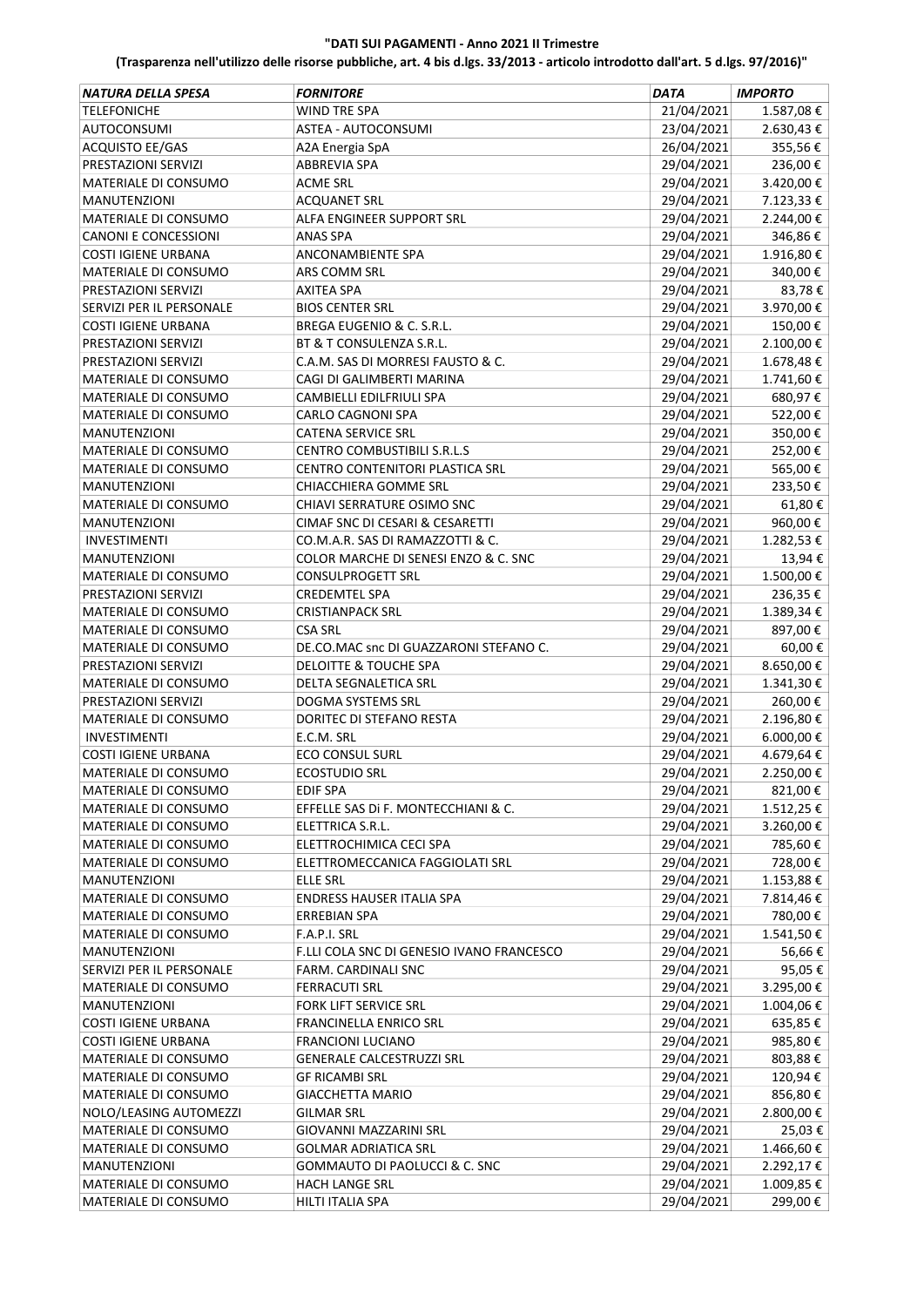| <b>NATURA DELLA SPESA</b>   | <b>FORNITORE</b>                                             | <b>DATA</b>              | <b>IMPORTO</b> |
|-----------------------------|--------------------------------------------------------------|--------------------------|----------------|
| <b>TELEFONICHE</b>          | <b>WIND TRE SPA</b>                                          | 21/04/2021               | 1.587,08€      |
| <b>AUTOCONSUMI</b>          | ASTEA - AUTOCONSUMI                                          | 23/04/2021               | 2.630,43€      |
| ACQUISTO EE/GAS             | A2A Energia SpA                                              | 26/04/2021               | 355,56€        |
| PRESTAZIONI SERVIZI         | <b>ABBREVIA SPA</b>                                          | 29/04/2021               | 236,00€        |
| MATERIALE DI CONSUMO        | <b>ACME SRL</b>                                              | 29/04/2021               | 3.420,00€      |
| <b>MANUTENZIONI</b>         | <b>ACQUANET SRL</b>                                          | 29/04/2021               | 7.123,33 €     |
| MATERIALE DI CONSUMO        | ALFA ENGINEER SUPPORT SRL                                    | 29/04/2021               | 2.244,00€      |
| <b>CANONI E CONCESSIONI</b> | <b>ANAS SPA</b>                                              | 29/04/2021               | 346,86€        |
| <b>COSTI IGIENE URBANA</b>  | ANCONAMBIENTE SPA                                            | 29/04/2021               | 1.916,80€      |
| MATERIALE DI CONSUMO        | ARS COMM SRL                                                 | 29/04/2021               | 340,00€        |
| PRESTAZIONI SERVIZI         | <b>AXITEA SPA</b>                                            | 29/04/2021               | 83,78€         |
| SERVIZI PER IL PERSONALE    | <b>BIOS CENTER SRL</b>                                       | 29/04/2021               | 3.970,00€      |
| <b>COSTI IGIENE URBANA</b>  | BREGA EUGENIO & C. S.R.L.                                    | 29/04/2021               | 150,00€        |
| PRESTAZIONI SERVIZI         | BT & T CONSULENZA S.R.L.                                     | 29/04/2021               | 2.100,00€      |
| PRESTAZIONI SERVIZI         | C.A.M. SAS DI MORRESI FAUSTO & C.                            | 29/04/2021               | 1.678,48€      |
| MATERIALE DI CONSUMO        | CAGI DI GALIMBERTI MARINA                                    | 29/04/2021               | 1.741,60€      |
| MATERIALE DI CONSUMO        | CAMBIELLI EDILFRIULI SPA                                     | 29/04/2021               | 680,97€        |
| MATERIALE DI CONSUMO        | CARLO CAGNONI SPA                                            | 29/04/2021               | 522,00€        |
| <b>MANUTENZIONI</b>         | <b>CATENA SERVICE SRL</b>                                    | 29/04/2021               | 350,00€        |
| MATERIALE DI CONSUMO        | CENTRO COMBUSTIBILI S.R.L.S                                  | 29/04/2021               | 252,00€        |
| MATERIALE DI CONSUMO        | CENTRO CONTENITORI PLASTICA SRL                              | 29/04/2021               | 565,00€        |
| <b>MANUTENZIONI</b>         | CHIACCHIERA GOMME SRL                                        | 29/04/2021               | 233,50€        |
| MATERIALE DI CONSUMO        | CHIAVI SERRATURE OSIMO SNC                                   | 29/04/2021               | 61,80€         |
| <b>MANUTENZIONI</b>         | CIMAF SNC DI CESARI & CESARETTI                              | 29/04/2021               | 960,00€        |
| INVESTIMENTI                | CO.M.A.R. SAS DI RAMAZZOTTI & C.                             | 29/04/2021               | 1.282,53€      |
| <b>MANUTENZIONI</b>         | COLOR MARCHE DI SENESI ENZO & C. SNC                         | 29/04/2021               | 13,94€         |
| MATERIALE DI CONSUMO        | <b>CONSULPROGETT SRL</b>                                     | 29/04/2021               | 1.500,00€      |
| PRESTAZIONI SERVIZI         | <b>CREDEMTEL SPA</b>                                         | 29/04/2021               | 236,35€        |
| MATERIALE DI CONSUMO        | <b>CRISTIANPACK SRL</b>                                      | 29/04/2021               | 1.389,34€      |
| MATERIALE DI CONSUMO        | <b>CSA SRL</b>                                               | 29/04/2021               | 897,00€        |
| MATERIALE DI CONSUMO        | DE.CO.MAC snc DI GUAZZARONI STEFANO C.                       | 29/04/2021               | 60,00€         |
| PRESTAZIONI SERVIZI         | DELOITTE & TOUCHE SPA                                        | 29/04/2021               | 8.650,00€      |
| MATERIALE DI CONSUMO        | <b>DELTA SEGNALETICA SRL</b>                                 | 29/04/2021               | 1.341,30€      |
| PRESTAZIONI SERVIZI         | <b>DOGMA SYSTEMS SRL</b>                                     | 29/04/2021               | 260,00€        |
| MATERIALE DI CONSUMO        | DORITEC DI STEFANO RESTA                                     | 29/04/2021               | 2.196,80€      |
| <b>INVESTIMENTI</b>         | E.C.M. SRL                                                   | 29/04/2021               | $6.000,00 \in$ |
| <b>COSTI IGIENE URBANA</b>  | <b>ECO CONSUL SURL</b>                                       | 29/04/2021               | 4.679,64 €     |
| MATERIALE DI CONSUMO        | <b>ECOSTUDIO SRL</b>                                         | 29/04/2021               | 2.250,00€      |
| MATERIALE DI CONSUMO        | EDIF SPA                                                     | 29/04/2021               | 821,00€        |
| MATERIALE DI CONSUMO        | EFFELLE SAS DI F. MONTECCHIANI & C.                          | 29/04/2021               | 1.512,25€      |
| MATERIALE DI CONSUMO        | ELETTRICA S.R.L.                                             | 29/04/2021               | 3.260,00 €     |
| MATERIALE DI CONSUMO        | ELETTROCHIMICA CECI SPA                                      | 29/04/2021               | 785,60€        |
| MATERIALE DI CONSUMO        | ELETTROMECCANICA FAGGIOLATI SRL                              | 29/04/2021               | 728,00€        |
| <b>MANUTENZIONI</b>         | ELLE SRL                                                     | 29/04/2021               | 1.153,88€      |
| MATERIALE DI CONSUMO        | ENDRESS HAUSER ITALIA SPA                                    | 29/04/2021               | 7.814,46€      |
| MATERIALE DI CONSUMO        | <b>ERREBIAN SPA</b>                                          | 29/04/2021               | 780,00€        |
| MATERIALE DI CONSUMO        | F.A.P.I. SRL                                                 | 29/04/2021               | 1.541,50€      |
| <b>MANUTENZIONI</b>         | F.LLI COLA SNC DI GENESIO IVANO FRANCESCO                    | 29/04/2021               | 56,66€         |
| SERVIZI PER IL PERSONALE    | FARM. CARDINALI SNC                                          | 29/04/2021               | 95,05€         |
| MATERIALE DI CONSUMO        | <b>FERRACUTI SRL</b>                                         | 29/04/2021               | 3.295,00€      |
| <b>MANUTENZIONI</b>         | FORK LIFT SERVICE SRL                                        | 29/04/2021               | 1.004,06€      |
| <b>COSTI IGIENE URBANA</b>  | FRANCINELLA ENRICO SRL                                       | 29/04/2021               | 635,85€        |
| <b>COSTI IGIENE URBANA</b>  | <b>FRANCIONI LUCIANO</b>                                     | 29/04/2021               | 985,80€        |
| MATERIALE DI CONSUMO        | <b>GENERALE CALCESTRUZZI SRL</b>                             | 29/04/2021               | 803,88€        |
| MATERIALE DI CONSUMO        | <b>GF RICAMBI SRL</b>                                        | 29/04/2021               | 120,94€        |
| MATERIALE DI CONSUMO        | <b>GIACCHETTA MARIO</b>                                      | 29/04/2021               | 856,80€        |
| NOLO/LEASING AUTOMEZZI      | GILMAR SRL                                                   | 29/04/2021               | 2.800,00 €     |
| MATERIALE DI CONSUMO        | GIOVANNI MAZZARINI SRL                                       | 29/04/2021               | 25,03€         |
|                             |                                                              |                          |                |
| MATERIALE DI CONSUMO        | <b>GOLMAR ADRIATICA SRL</b><br>GOMMAUTO DI PAOLUCCI & C. SNC | 29/04/2021<br>29/04/2021 | 1.466,60€      |
| <b>MANUTENZIONI</b>         |                                                              |                          | 2.292,17€      |
| MATERIALE DI CONSUMO        | <b>HACH LANGE SRL</b>                                        | 29/04/2021               | 1.009,85€      |
| MATERIALE DI CONSUMO        | HILTI ITALIA SPA                                             | 29/04/2021               | 299,00€        |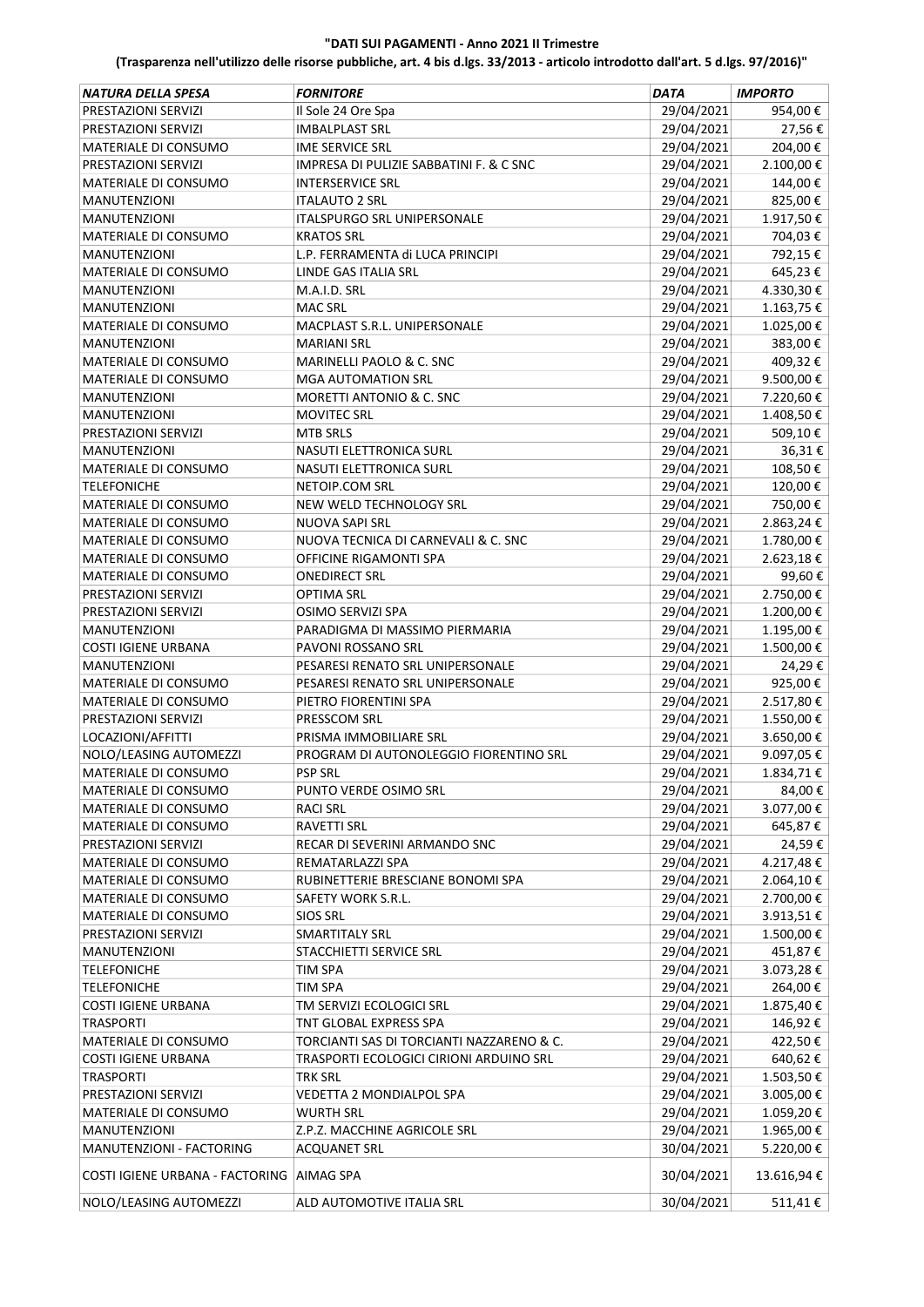| 29/04/2021<br>954,00€<br>PRESTAZIONI SERVIZI<br>Il Sole 24 Ore Spa<br>29/04/2021<br>27,56€<br>PRESTAZIONI SERVIZI<br><b>IMBALPLAST SRL</b><br>204,00€<br>29/04/2021<br>MATERIALE DI CONSUMO<br><b>IME SERVICE SRL</b><br>29/04/2021<br>2.100,00€<br>PRESTAZIONI SERVIZI<br><b>IMPRESA DI PULIZIE SABBATINI F. &amp; C SNC</b><br>29/04/2021<br>144,00€<br>MATERIALE DI CONSUMO<br><b>INTERSERVICE SRL</b><br>29/04/2021<br>825,00€<br><b>ITALAUTO 2 SRL</b><br><b>MANUTENZIONI</b><br>29/04/2021<br>1.917,50€<br>ITALSPURGO SRL UNIPERSONALE<br><b>MANUTENZIONI</b><br>29/04/2021<br>704,03€<br><b>KRATOS SRL</b><br>MATERIALE DI CONSUMO<br>29/04/2021<br>792,15€<br>L.P. FERRAMENTA di LUCA PRINCIPI<br><b>MANUTENZIONI</b><br>29/04/2021<br>645,23€<br>MATERIALE DI CONSUMO<br>LINDE GAS ITALIA SRL<br>4.330,30€<br><b>MANUTENZIONI</b><br>M.A.I.D. SRL<br>29/04/2021<br>1.163,75 €<br><b>MAC SRL</b><br>29/04/2021<br><b>MANUTENZIONI</b><br>MATERIALE DI CONSUMO<br>29/04/2021<br>1.025,00€<br>MACPLAST S.R.L. UNIPERSONALE<br>29/04/2021<br>383,00€<br><b>MANUTENZIONI</b><br><b>MARIANI SRL</b><br>29/04/2021<br>409,32€<br>MATERIALE DI CONSUMO<br>MARINELLI PAOLO & C. SNC<br>MATERIALE DI CONSUMO<br><b>MGA AUTOMATION SRL</b><br>29/04/2021<br>9.500,00€<br>MORETTI ANTONIO & C. SNC<br>29/04/2021<br>7.220,60€<br><b>MANUTENZIONI</b><br>29/04/2021<br>1.408,50€<br><b>MANUTENZIONI</b><br><b>MOVITEC SRL</b><br>509,10€<br><b>MTB SRLS</b><br>29/04/2021<br>PRESTAZIONI SERVIZI<br>29/04/2021<br>36,31€<br>NASUTI ELETTRONICA SURL<br><b>MANUTENZIONI</b><br>29/04/2021<br>108,50€<br>MATERIALE DI CONSUMO<br>NASUTI ELETTRONICA SURL<br>120,00€<br>NETOIP.COM SRL<br>29/04/2021<br><b>TELEFONICHE</b><br>750,00€<br><b>NEW WELD TECHNOLOGY SRL</b><br>29/04/2021<br>MATERIALE DI CONSUMO<br>2.863,24€<br>MATERIALE DI CONSUMO<br>NUOVA SAPI SRL<br>29/04/2021<br>MATERIALE DI CONSUMO<br>NUOVA TECNICA DI CARNEVALI & C. SNC<br>29/04/2021<br>1.780,00€<br>29/04/2021<br>2.623,18€<br>MATERIALE DI CONSUMO<br>OFFICINE RIGAMONTI SPA<br>29/04/2021<br>99,60€<br>MATERIALE DI CONSUMO<br><b>ONEDIRECT SRL</b><br>29/04/2021<br>2.750,00€<br>PRESTAZIONI SERVIZI<br>OPTIMA SRL<br>29/04/2021<br>1.200,00€<br>PRESTAZIONI SERVIZI<br>OSIMO SERVIZI SPA<br>29/04/2021<br>1.195,00€<br><b>MANUTENZIONI</b><br>PARADIGMA DI MASSIMO PIERMARIA<br>29/04/2021<br>PAVONI ROSSANO SRL<br>1.500,00€<br><b>COSTI IGIENE URBANA</b><br>29/04/2021<br>PESARESI RENATO SRL UNIPERSONALE<br>24,29€<br><b>MANUTENZIONI</b><br>29/04/2021<br>925,00€<br>PESARESI RENATO SRL UNIPERSONALE<br><b>MATERIALE DI CONSUMO</b><br>29/04/2021<br>2.517,80€<br>MATERIALE DI CONSUMO<br>PIETRO FIORENTINI SPA<br>PRESTAZIONI SERVIZI<br>29/04/2021<br>1.550,00€<br>PRESSCOM SRL<br>3.650,00€<br>LOCAZIONI/AFFITTI<br>PRISMA IMMOBILIARE SRL<br>29/04/2021<br>9.097,05€<br>NOLO/LEASING AUTOMEZZI<br>PROGRAM DI AUTONOLEGGIO FIORENTINO SRL<br>29/04/2021<br>29/04/2021<br>1.834,71€<br>MATERIALE DI CONSUMO<br><b>PSP SRL</b><br>29/04/2021<br>84,00€<br>MATERIALE DI CONSUMO<br>PUNTO VERDE OSIMO SRL<br>29/04/2021<br>3.077,00 €<br>MATERIALE DI CONSUMO<br><b>RACI SRL</b><br>29/04/2021<br>645,87€<br>MATERIALE DI CONSUMO<br><b>RAVETTI SRL</b><br>29/04/2021<br>24,59€<br>RECAR DI SEVERINI ARMANDO SNC<br>PRESTAZIONI SERVIZI<br>29/04/2021<br>4.217,48€<br>MATERIALE DI CONSUMO<br>REMATARLAZZI SPA<br>29/04/2021<br>RUBINETTERIE BRESCIANE BONOMI SPA<br>2.064,10€<br>MATERIALE DI CONSUMO<br>29/04/2021<br>2.700,00€<br>MATERIALE DI CONSUMO<br>SAFETY WORK S.R.L.<br>29/04/2021<br>3.913,51€<br>MATERIALE DI CONSUMO<br><b>SIOS SRL</b><br>29/04/2021<br>1.500,00€<br>PRESTAZIONI SERVIZI<br><b>SMARTITALY SRL</b><br>29/04/2021<br>451,87€<br>MANUTENZIONI<br>STACCHIETTI SERVICE SRL<br>29/04/2021<br>3.073,28€<br><b>TELEFONICHE</b><br><b>TIM SPA</b><br>29/04/2021<br>264,00€<br><b>TELEFONICHE</b><br><b>TIM SPA</b><br>29/04/2021<br>1.875,40€<br><b>COSTI IGIENE URBANA</b><br>TM SERVIZI ECOLOGICI SRL<br>29/04/2021<br>146,92€<br><b>TRASPORTI</b><br>TNT GLOBAL EXPRESS SPA<br>29/04/2021<br>TORCIANTI SAS DI TORCIANTI NAZZARENO & C.<br>422,50€<br>MATERIALE DI CONSUMO<br>29/04/2021<br>TRASPORTI ECOLOGICI CIRIONI ARDUINO SRL<br>640,62€<br><b>COSTI IGIENE URBANA</b><br>29/04/2021<br>1.503,50€<br><b>TRASPORTI</b><br><b>TRK SRL</b><br>29/04/2021<br>3.005,00€<br>PRESTAZIONI SERVIZI<br>VEDETTA 2 MONDIALPOL SPA<br>29/04/2021<br>MATERIALE DI CONSUMO<br><b>WURTH SRL</b><br>1.059,20€<br>29/04/2021<br>1.965,00€<br><b>MANUTENZIONI</b><br>Z.P.Z. MACCHINE AGRICOLE SRL<br>30/04/2021<br>5.220,00€<br>MANUTENZIONI - FACTORING<br><b>ACQUANET SRL</b><br>30/04/2021<br>COSTI IGIENE URBANA - FACTORING   AIMAG SPA<br>13.616,94€<br>30/04/2021<br>511,41€<br>NOLO/LEASING AUTOMEZZI<br>ALD AUTOMOTIVE ITALIA SRL | NATURA DELLA SPESA | <b>FORNITORE</b> | DATA | <b>IMPORTO</b> |
|--------------------------------------------------------------------------------------------------------------------------------------------------------------------------------------------------------------------------------------------------------------------------------------------------------------------------------------------------------------------------------------------------------------------------------------------------------------------------------------------------------------------------------------------------------------------------------------------------------------------------------------------------------------------------------------------------------------------------------------------------------------------------------------------------------------------------------------------------------------------------------------------------------------------------------------------------------------------------------------------------------------------------------------------------------------------------------------------------------------------------------------------------------------------------------------------------------------------------------------------------------------------------------------------------------------------------------------------------------------------------------------------------------------------------------------------------------------------------------------------------------------------------------------------------------------------------------------------------------------------------------------------------------------------------------------------------------------------------------------------------------------------------------------------------------------------------------------------------------------------------------------------------------------------------------------------------------------------------------------------------------------------------------------------------------------------------------------------------------------------------------------------------------------------------------------------------------------------------------------------------------------------------------------------------------------------------------------------------------------------------------------------------------------------------------------------------------------------------------------------------------------------------------------------------------------------------------------------------------------------------------------------------------------------------------------------------------------------------------------------------------------------------------------------------------------------------------------------------------------------------------------------------------------------------------------------------------------------------------------------------------------------------------------------------------------------------------------------------------------------------------------------------------------------------------------------------------------------------------------------------------------------------------------------------------------------------------------------------------------------------------------------------------------------------------------------------------------------------------------------------------------------------------------------------------------------------------------------------------------------------------------------------------------------------------------------------------------------------------------------------------------------------------------------------------------------------------------------------------------------------------------------------------------------------------------------------------------------------------------------------------------------------------------------------------------------------------------------------------------------------------------------------------------------------------------------------------------------------------------------------------------------------------------------------------------------------------------------------------------------------------------------------------------------------------------------------------------------------------------------------------------------------------------------------------------------------------------------------------------------------------------------------------------------------------------------------------------------------------------------------------------------------------------------------------------------------------------|--------------------|------------------|------|----------------|
|                                                                                                                                                                                                                                                                                                                                                                                                                                                                                                                                                                                                                                                                                                                                                                                                                                                                                                                                                                                                                                                                                                                                                                                                                                                                                                                                                                                                                                                                                                                                                                                                                                                                                                                                                                                                                                                                                                                                                                                                                                                                                                                                                                                                                                                                                                                                                                                                                                                                                                                                                                                                                                                                                                                                                                                                                                                                                                                                                                                                                                                                                                                                                                                                                                                                                                                                                                                                                                                                                                                                                                                                                                                                                                                                                                                                                                                                                                                                                                                                                                                                                                                                                                                                                                                                                                                                                                                                                                                                                                                                                                                                                                                                                                                                                                                                                                      |                    |                  |      |                |
|                                                                                                                                                                                                                                                                                                                                                                                                                                                                                                                                                                                                                                                                                                                                                                                                                                                                                                                                                                                                                                                                                                                                                                                                                                                                                                                                                                                                                                                                                                                                                                                                                                                                                                                                                                                                                                                                                                                                                                                                                                                                                                                                                                                                                                                                                                                                                                                                                                                                                                                                                                                                                                                                                                                                                                                                                                                                                                                                                                                                                                                                                                                                                                                                                                                                                                                                                                                                                                                                                                                                                                                                                                                                                                                                                                                                                                                                                                                                                                                                                                                                                                                                                                                                                                                                                                                                                                                                                                                                                                                                                                                                                                                                                                                                                                                                                                      |                    |                  |      |                |
|                                                                                                                                                                                                                                                                                                                                                                                                                                                                                                                                                                                                                                                                                                                                                                                                                                                                                                                                                                                                                                                                                                                                                                                                                                                                                                                                                                                                                                                                                                                                                                                                                                                                                                                                                                                                                                                                                                                                                                                                                                                                                                                                                                                                                                                                                                                                                                                                                                                                                                                                                                                                                                                                                                                                                                                                                                                                                                                                                                                                                                                                                                                                                                                                                                                                                                                                                                                                                                                                                                                                                                                                                                                                                                                                                                                                                                                                                                                                                                                                                                                                                                                                                                                                                                                                                                                                                                                                                                                                                                                                                                                                                                                                                                                                                                                                                                      |                    |                  |      |                |
|                                                                                                                                                                                                                                                                                                                                                                                                                                                                                                                                                                                                                                                                                                                                                                                                                                                                                                                                                                                                                                                                                                                                                                                                                                                                                                                                                                                                                                                                                                                                                                                                                                                                                                                                                                                                                                                                                                                                                                                                                                                                                                                                                                                                                                                                                                                                                                                                                                                                                                                                                                                                                                                                                                                                                                                                                                                                                                                                                                                                                                                                                                                                                                                                                                                                                                                                                                                                                                                                                                                                                                                                                                                                                                                                                                                                                                                                                                                                                                                                                                                                                                                                                                                                                                                                                                                                                                                                                                                                                                                                                                                                                                                                                                                                                                                                                                      |                    |                  |      |                |
|                                                                                                                                                                                                                                                                                                                                                                                                                                                                                                                                                                                                                                                                                                                                                                                                                                                                                                                                                                                                                                                                                                                                                                                                                                                                                                                                                                                                                                                                                                                                                                                                                                                                                                                                                                                                                                                                                                                                                                                                                                                                                                                                                                                                                                                                                                                                                                                                                                                                                                                                                                                                                                                                                                                                                                                                                                                                                                                                                                                                                                                                                                                                                                                                                                                                                                                                                                                                                                                                                                                                                                                                                                                                                                                                                                                                                                                                                                                                                                                                                                                                                                                                                                                                                                                                                                                                                                                                                                                                                                                                                                                                                                                                                                                                                                                                                                      |                    |                  |      |                |
|                                                                                                                                                                                                                                                                                                                                                                                                                                                                                                                                                                                                                                                                                                                                                                                                                                                                                                                                                                                                                                                                                                                                                                                                                                                                                                                                                                                                                                                                                                                                                                                                                                                                                                                                                                                                                                                                                                                                                                                                                                                                                                                                                                                                                                                                                                                                                                                                                                                                                                                                                                                                                                                                                                                                                                                                                                                                                                                                                                                                                                                                                                                                                                                                                                                                                                                                                                                                                                                                                                                                                                                                                                                                                                                                                                                                                                                                                                                                                                                                                                                                                                                                                                                                                                                                                                                                                                                                                                                                                                                                                                                                                                                                                                                                                                                                                                      |                    |                  |      |                |
|                                                                                                                                                                                                                                                                                                                                                                                                                                                                                                                                                                                                                                                                                                                                                                                                                                                                                                                                                                                                                                                                                                                                                                                                                                                                                                                                                                                                                                                                                                                                                                                                                                                                                                                                                                                                                                                                                                                                                                                                                                                                                                                                                                                                                                                                                                                                                                                                                                                                                                                                                                                                                                                                                                                                                                                                                                                                                                                                                                                                                                                                                                                                                                                                                                                                                                                                                                                                                                                                                                                                                                                                                                                                                                                                                                                                                                                                                                                                                                                                                                                                                                                                                                                                                                                                                                                                                                                                                                                                                                                                                                                                                                                                                                                                                                                                                                      |                    |                  |      |                |
|                                                                                                                                                                                                                                                                                                                                                                                                                                                                                                                                                                                                                                                                                                                                                                                                                                                                                                                                                                                                                                                                                                                                                                                                                                                                                                                                                                                                                                                                                                                                                                                                                                                                                                                                                                                                                                                                                                                                                                                                                                                                                                                                                                                                                                                                                                                                                                                                                                                                                                                                                                                                                                                                                                                                                                                                                                                                                                                                                                                                                                                                                                                                                                                                                                                                                                                                                                                                                                                                                                                                                                                                                                                                                                                                                                                                                                                                                                                                                                                                                                                                                                                                                                                                                                                                                                                                                                                                                                                                                                                                                                                                                                                                                                                                                                                                                                      |                    |                  |      |                |
|                                                                                                                                                                                                                                                                                                                                                                                                                                                                                                                                                                                                                                                                                                                                                                                                                                                                                                                                                                                                                                                                                                                                                                                                                                                                                                                                                                                                                                                                                                                                                                                                                                                                                                                                                                                                                                                                                                                                                                                                                                                                                                                                                                                                                                                                                                                                                                                                                                                                                                                                                                                                                                                                                                                                                                                                                                                                                                                                                                                                                                                                                                                                                                                                                                                                                                                                                                                                                                                                                                                                                                                                                                                                                                                                                                                                                                                                                                                                                                                                                                                                                                                                                                                                                                                                                                                                                                                                                                                                                                                                                                                                                                                                                                                                                                                                                                      |                    |                  |      |                |
|                                                                                                                                                                                                                                                                                                                                                                                                                                                                                                                                                                                                                                                                                                                                                                                                                                                                                                                                                                                                                                                                                                                                                                                                                                                                                                                                                                                                                                                                                                                                                                                                                                                                                                                                                                                                                                                                                                                                                                                                                                                                                                                                                                                                                                                                                                                                                                                                                                                                                                                                                                                                                                                                                                                                                                                                                                                                                                                                                                                                                                                                                                                                                                                                                                                                                                                                                                                                                                                                                                                                                                                                                                                                                                                                                                                                                                                                                                                                                                                                                                                                                                                                                                                                                                                                                                                                                                                                                                                                                                                                                                                                                                                                                                                                                                                                                                      |                    |                  |      |                |
|                                                                                                                                                                                                                                                                                                                                                                                                                                                                                                                                                                                                                                                                                                                                                                                                                                                                                                                                                                                                                                                                                                                                                                                                                                                                                                                                                                                                                                                                                                                                                                                                                                                                                                                                                                                                                                                                                                                                                                                                                                                                                                                                                                                                                                                                                                                                                                                                                                                                                                                                                                                                                                                                                                                                                                                                                                                                                                                                                                                                                                                                                                                                                                                                                                                                                                                                                                                                                                                                                                                                                                                                                                                                                                                                                                                                                                                                                                                                                                                                                                                                                                                                                                                                                                                                                                                                                                                                                                                                                                                                                                                                                                                                                                                                                                                                                                      |                    |                  |      |                |
|                                                                                                                                                                                                                                                                                                                                                                                                                                                                                                                                                                                                                                                                                                                                                                                                                                                                                                                                                                                                                                                                                                                                                                                                                                                                                                                                                                                                                                                                                                                                                                                                                                                                                                                                                                                                                                                                                                                                                                                                                                                                                                                                                                                                                                                                                                                                                                                                                                                                                                                                                                                                                                                                                                                                                                                                                                                                                                                                                                                                                                                                                                                                                                                                                                                                                                                                                                                                                                                                                                                                                                                                                                                                                                                                                                                                                                                                                                                                                                                                                                                                                                                                                                                                                                                                                                                                                                                                                                                                                                                                                                                                                                                                                                                                                                                                                                      |                    |                  |      |                |
|                                                                                                                                                                                                                                                                                                                                                                                                                                                                                                                                                                                                                                                                                                                                                                                                                                                                                                                                                                                                                                                                                                                                                                                                                                                                                                                                                                                                                                                                                                                                                                                                                                                                                                                                                                                                                                                                                                                                                                                                                                                                                                                                                                                                                                                                                                                                                                                                                                                                                                                                                                                                                                                                                                                                                                                                                                                                                                                                                                                                                                                                                                                                                                                                                                                                                                                                                                                                                                                                                                                                                                                                                                                                                                                                                                                                                                                                                                                                                                                                                                                                                                                                                                                                                                                                                                                                                                                                                                                                                                                                                                                                                                                                                                                                                                                                                                      |                    |                  |      |                |
|                                                                                                                                                                                                                                                                                                                                                                                                                                                                                                                                                                                                                                                                                                                                                                                                                                                                                                                                                                                                                                                                                                                                                                                                                                                                                                                                                                                                                                                                                                                                                                                                                                                                                                                                                                                                                                                                                                                                                                                                                                                                                                                                                                                                                                                                                                                                                                                                                                                                                                                                                                                                                                                                                                                                                                                                                                                                                                                                                                                                                                                                                                                                                                                                                                                                                                                                                                                                                                                                                                                                                                                                                                                                                                                                                                                                                                                                                                                                                                                                                                                                                                                                                                                                                                                                                                                                                                                                                                                                                                                                                                                                                                                                                                                                                                                                                                      |                    |                  |      |                |
|                                                                                                                                                                                                                                                                                                                                                                                                                                                                                                                                                                                                                                                                                                                                                                                                                                                                                                                                                                                                                                                                                                                                                                                                                                                                                                                                                                                                                                                                                                                                                                                                                                                                                                                                                                                                                                                                                                                                                                                                                                                                                                                                                                                                                                                                                                                                                                                                                                                                                                                                                                                                                                                                                                                                                                                                                                                                                                                                                                                                                                                                                                                                                                                                                                                                                                                                                                                                                                                                                                                                                                                                                                                                                                                                                                                                                                                                                                                                                                                                                                                                                                                                                                                                                                                                                                                                                                                                                                                                                                                                                                                                                                                                                                                                                                                                                                      |                    |                  |      |                |
|                                                                                                                                                                                                                                                                                                                                                                                                                                                                                                                                                                                                                                                                                                                                                                                                                                                                                                                                                                                                                                                                                                                                                                                                                                                                                                                                                                                                                                                                                                                                                                                                                                                                                                                                                                                                                                                                                                                                                                                                                                                                                                                                                                                                                                                                                                                                                                                                                                                                                                                                                                                                                                                                                                                                                                                                                                                                                                                                                                                                                                                                                                                                                                                                                                                                                                                                                                                                                                                                                                                                                                                                                                                                                                                                                                                                                                                                                                                                                                                                                                                                                                                                                                                                                                                                                                                                                                                                                                                                                                                                                                                                                                                                                                                                                                                                                                      |                    |                  |      |                |
|                                                                                                                                                                                                                                                                                                                                                                                                                                                                                                                                                                                                                                                                                                                                                                                                                                                                                                                                                                                                                                                                                                                                                                                                                                                                                                                                                                                                                                                                                                                                                                                                                                                                                                                                                                                                                                                                                                                                                                                                                                                                                                                                                                                                                                                                                                                                                                                                                                                                                                                                                                                                                                                                                                                                                                                                                                                                                                                                                                                                                                                                                                                                                                                                                                                                                                                                                                                                                                                                                                                                                                                                                                                                                                                                                                                                                                                                                                                                                                                                                                                                                                                                                                                                                                                                                                                                                                                                                                                                                                                                                                                                                                                                                                                                                                                                                                      |                    |                  |      |                |
|                                                                                                                                                                                                                                                                                                                                                                                                                                                                                                                                                                                                                                                                                                                                                                                                                                                                                                                                                                                                                                                                                                                                                                                                                                                                                                                                                                                                                                                                                                                                                                                                                                                                                                                                                                                                                                                                                                                                                                                                                                                                                                                                                                                                                                                                                                                                                                                                                                                                                                                                                                                                                                                                                                                                                                                                                                                                                                                                                                                                                                                                                                                                                                                                                                                                                                                                                                                                                                                                                                                                                                                                                                                                                                                                                                                                                                                                                                                                                                                                                                                                                                                                                                                                                                                                                                                                                                                                                                                                                                                                                                                                                                                                                                                                                                                                                                      |                    |                  |      |                |
|                                                                                                                                                                                                                                                                                                                                                                                                                                                                                                                                                                                                                                                                                                                                                                                                                                                                                                                                                                                                                                                                                                                                                                                                                                                                                                                                                                                                                                                                                                                                                                                                                                                                                                                                                                                                                                                                                                                                                                                                                                                                                                                                                                                                                                                                                                                                                                                                                                                                                                                                                                                                                                                                                                                                                                                                                                                                                                                                                                                                                                                                                                                                                                                                                                                                                                                                                                                                                                                                                                                                                                                                                                                                                                                                                                                                                                                                                                                                                                                                                                                                                                                                                                                                                                                                                                                                                                                                                                                                                                                                                                                                                                                                                                                                                                                                                                      |                    |                  |      |                |
|                                                                                                                                                                                                                                                                                                                                                                                                                                                                                                                                                                                                                                                                                                                                                                                                                                                                                                                                                                                                                                                                                                                                                                                                                                                                                                                                                                                                                                                                                                                                                                                                                                                                                                                                                                                                                                                                                                                                                                                                                                                                                                                                                                                                                                                                                                                                                                                                                                                                                                                                                                                                                                                                                                                                                                                                                                                                                                                                                                                                                                                                                                                                                                                                                                                                                                                                                                                                                                                                                                                                                                                                                                                                                                                                                                                                                                                                                                                                                                                                                                                                                                                                                                                                                                                                                                                                                                                                                                                                                                                                                                                                                                                                                                                                                                                                                                      |                    |                  |      |                |
|                                                                                                                                                                                                                                                                                                                                                                                                                                                                                                                                                                                                                                                                                                                                                                                                                                                                                                                                                                                                                                                                                                                                                                                                                                                                                                                                                                                                                                                                                                                                                                                                                                                                                                                                                                                                                                                                                                                                                                                                                                                                                                                                                                                                                                                                                                                                                                                                                                                                                                                                                                                                                                                                                                                                                                                                                                                                                                                                                                                                                                                                                                                                                                                                                                                                                                                                                                                                                                                                                                                                                                                                                                                                                                                                                                                                                                                                                                                                                                                                                                                                                                                                                                                                                                                                                                                                                                                                                                                                                                                                                                                                                                                                                                                                                                                                                                      |                    |                  |      |                |
|                                                                                                                                                                                                                                                                                                                                                                                                                                                                                                                                                                                                                                                                                                                                                                                                                                                                                                                                                                                                                                                                                                                                                                                                                                                                                                                                                                                                                                                                                                                                                                                                                                                                                                                                                                                                                                                                                                                                                                                                                                                                                                                                                                                                                                                                                                                                                                                                                                                                                                                                                                                                                                                                                                                                                                                                                                                                                                                                                                                                                                                                                                                                                                                                                                                                                                                                                                                                                                                                                                                                                                                                                                                                                                                                                                                                                                                                                                                                                                                                                                                                                                                                                                                                                                                                                                                                                                                                                                                                                                                                                                                                                                                                                                                                                                                                                                      |                    |                  |      |                |
|                                                                                                                                                                                                                                                                                                                                                                                                                                                                                                                                                                                                                                                                                                                                                                                                                                                                                                                                                                                                                                                                                                                                                                                                                                                                                                                                                                                                                                                                                                                                                                                                                                                                                                                                                                                                                                                                                                                                                                                                                                                                                                                                                                                                                                                                                                                                                                                                                                                                                                                                                                                                                                                                                                                                                                                                                                                                                                                                                                                                                                                                                                                                                                                                                                                                                                                                                                                                                                                                                                                                                                                                                                                                                                                                                                                                                                                                                                                                                                                                                                                                                                                                                                                                                                                                                                                                                                                                                                                                                                                                                                                                                                                                                                                                                                                                                                      |                    |                  |      |                |
|                                                                                                                                                                                                                                                                                                                                                                                                                                                                                                                                                                                                                                                                                                                                                                                                                                                                                                                                                                                                                                                                                                                                                                                                                                                                                                                                                                                                                                                                                                                                                                                                                                                                                                                                                                                                                                                                                                                                                                                                                                                                                                                                                                                                                                                                                                                                                                                                                                                                                                                                                                                                                                                                                                                                                                                                                                                                                                                                                                                                                                                                                                                                                                                                                                                                                                                                                                                                                                                                                                                                                                                                                                                                                                                                                                                                                                                                                                                                                                                                                                                                                                                                                                                                                                                                                                                                                                                                                                                                                                                                                                                                                                                                                                                                                                                                                                      |                    |                  |      |                |
|                                                                                                                                                                                                                                                                                                                                                                                                                                                                                                                                                                                                                                                                                                                                                                                                                                                                                                                                                                                                                                                                                                                                                                                                                                                                                                                                                                                                                                                                                                                                                                                                                                                                                                                                                                                                                                                                                                                                                                                                                                                                                                                                                                                                                                                                                                                                                                                                                                                                                                                                                                                                                                                                                                                                                                                                                                                                                                                                                                                                                                                                                                                                                                                                                                                                                                                                                                                                                                                                                                                                                                                                                                                                                                                                                                                                                                                                                                                                                                                                                                                                                                                                                                                                                                                                                                                                                                                                                                                                                                                                                                                                                                                                                                                                                                                                                                      |                    |                  |      |                |
|                                                                                                                                                                                                                                                                                                                                                                                                                                                                                                                                                                                                                                                                                                                                                                                                                                                                                                                                                                                                                                                                                                                                                                                                                                                                                                                                                                                                                                                                                                                                                                                                                                                                                                                                                                                                                                                                                                                                                                                                                                                                                                                                                                                                                                                                                                                                                                                                                                                                                                                                                                                                                                                                                                                                                                                                                                                                                                                                                                                                                                                                                                                                                                                                                                                                                                                                                                                                                                                                                                                                                                                                                                                                                                                                                                                                                                                                                                                                                                                                                                                                                                                                                                                                                                                                                                                                                                                                                                                                                                                                                                                                                                                                                                                                                                                                                                      |                    |                  |      |                |
|                                                                                                                                                                                                                                                                                                                                                                                                                                                                                                                                                                                                                                                                                                                                                                                                                                                                                                                                                                                                                                                                                                                                                                                                                                                                                                                                                                                                                                                                                                                                                                                                                                                                                                                                                                                                                                                                                                                                                                                                                                                                                                                                                                                                                                                                                                                                                                                                                                                                                                                                                                                                                                                                                                                                                                                                                                                                                                                                                                                                                                                                                                                                                                                                                                                                                                                                                                                                                                                                                                                                                                                                                                                                                                                                                                                                                                                                                                                                                                                                                                                                                                                                                                                                                                                                                                                                                                                                                                                                                                                                                                                                                                                                                                                                                                                                                                      |                    |                  |      |                |
|                                                                                                                                                                                                                                                                                                                                                                                                                                                                                                                                                                                                                                                                                                                                                                                                                                                                                                                                                                                                                                                                                                                                                                                                                                                                                                                                                                                                                                                                                                                                                                                                                                                                                                                                                                                                                                                                                                                                                                                                                                                                                                                                                                                                                                                                                                                                                                                                                                                                                                                                                                                                                                                                                                                                                                                                                                                                                                                                                                                                                                                                                                                                                                                                                                                                                                                                                                                                                                                                                                                                                                                                                                                                                                                                                                                                                                                                                                                                                                                                                                                                                                                                                                                                                                                                                                                                                                                                                                                                                                                                                                                                                                                                                                                                                                                                                                      |                    |                  |      |                |
|                                                                                                                                                                                                                                                                                                                                                                                                                                                                                                                                                                                                                                                                                                                                                                                                                                                                                                                                                                                                                                                                                                                                                                                                                                                                                                                                                                                                                                                                                                                                                                                                                                                                                                                                                                                                                                                                                                                                                                                                                                                                                                                                                                                                                                                                                                                                                                                                                                                                                                                                                                                                                                                                                                                                                                                                                                                                                                                                                                                                                                                                                                                                                                                                                                                                                                                                                                                                                                                                                                                                                                                                                                                                                                                                                                                                                                                                                                                                                                                                                                                                                                                                                                                                                                                                                                                                                                                                                                                                                                                                                                                                                                                                                                                                                                                                                                      |                    |                  |      |                |
|                                                                                                                                                                                                                                                                                                                                                                                                                                                                                                                                                                                                                                                                                                                                                                                                                                                                                                                                                                                                                                                                                                                                                                                                                                                                                                                                                                                                                                                                                                                                                                                                                                                                                                                                                                                                                                                                                                                                                                                                                                                                                                                                                                                                                                                                                                                                                                                                                                                                                                                                                                                                                                                                                                                                                                                                                                                                                                                                                                                                                                                                                                                                                                                                                                                                                                                                                                                                                                                                                                                                                                                                                                                                                                                                                                                                                                                                                                                                                                                                                                                                                                                                                                                                                                                                                                                                                                                                                                                                                                                                                                                                                                                                                                                                                                                                                                      |                    |                  |      |                |
|                                                                                                                                                                                                                                                                                                                                                                                                                                                                                                                                                                                                                                                                                                                                                                                                                                                                                                                                                                                                                                                                                                                                                                                                                                                                                                                                                                                                                                                                                                                                                                                                                                                                                                                                                                                                                                                                                                                                                                                                                                                                                                                                                                                                                                                                                                                                                                                                                                                                                                                                                                                                                                                                                                                                                                                                                                                                                                                                                                                                                                                                                                                                                                                                                                                                                                                                                                                                                                                                                                                                                                                                                                                                                                                                                                                                                                                                                                                                                                                                                                                                                                                                                                                                                                                                                                                                                                                                                                                                                                                                                                                                                                                                                                                                                                                                                                      |                    |                  |      |                |
|                                                                                                                                                                                                                                                                                                                                                                                                                                                                                                                                                                                                                                                                                                                                                                                                                                                                                                                                                                                                                                                                                                                                                                                                                                                                                                                                                                                                                                                                                                                                                                                                                                                                                                                                                                                                                                                                                                                                                                                                                                                                                                                                                                                                                                                                                                                                                                                                                                                                                                                                                                                                                                                                                                                                                                                                                                                                                                                                                                                                                                                                                                                                                                                                                                                                                                                                                                                                                                                                                                                                                                                                                                                                                                                                                                                                                                                                                                                                                                                                                                                                                                                                                                                                                                                                                                                                                                                                                                                                                                                                                                                                                                                                                                                                                                                                                                      |                    |                  |      |                |
|                                                                                                                                                                                                                                                                                                                                                                                                                                                                                                                                                                                                                                                                                                                                                                                                                                                                                                                                                                                                                                                                                                                                                                                                                                                                                                                                                                                                                                                                                                                                                                                                                                                                                                                                                                                                                                                                                                                                                                                                                                                                                                                                                                                                                                                                                                                                                                                                                                                                                                                                                                                                                                                                                                                                                                                                                                                                                                                                                                                                                                                                                                                                                                                                                                                                                                                                                                                                                                                                                                                                                                                                                                                                                                                                                                                                                                                                                                                                                                                                                                                                                                                                                                                                                                                                                                                                                                                                                                                                                                                                                                                                                                                                                                                                                                                                                                      |                    |                  |      |                |
|                                                                                                                                                                                                                                                                                                                                                                                                                                                                                                                                                                                                                                                                                                                                                                                                                                                                                                                                                                                                                                                                                                                                                                                                                                                                                                                                                                                                                                                                                                                                                                                                                                                                                                                                                                                                                                                                                                                                                                                                                                                                                                                                                                                                                                                                                                                                                                                                                                                                                                                                                                                                                                                                                                                                                                                                                                                                                                                                                                                                                                                                                                                                                                                                                                                                                                                                                                                                                                                                                                                                                                                                                                                                                                                                                                                                                                                                                                                                                                                                                                                                                                                                                                                                                                                                                                                                                                                                                                                                                                                                                                                                                                                                                                                                                                                                                                      |                    |                  |      |                |
|                                                                                                                                                                                                                                                                                                                                                                                                                                                                                                                                                                                                                                                                                                                                                                                                                                                                                                                                                                                                                                                                                                                                                                                                                                                                                                                                                                                                                                                                                                                                                                                                                                                                                                                                                                                                                                                                                                                                                                                                                                                                                                                                                                                                                                                                                                                                                                                                                                                                                                                                                                                                                                                                                                                                                                                                                                                                                                                                                                                                                                                                                                                                                                                                                                                                                                                                                                                                                                                                                                                                                                                                                                                                                                                                                                                                                                                                                                                                                                                                                                                                                                                                                                                                                                                                                                                                                                                                                                                                                                                                                                                                                                                                                                                                                                                                                                      |                    |                  |      |                |
|                                                                                                                                                                                                                                                                                                                                                                                                                                                                                                                                                                                                                                                                                                                                                                                                                                                                                                                                                                                                                                                                                                                                                                                                                                                                                                                                                                                                                                                                                                                                                                                                                                                                                                                                                                                                                                                                                                                                                                                                                                                                                                                                                                                                                                                                                                                                                                                                                                                                                                                                                                                                                                                                                                                                                                                                                                                                                                                                                                                                                                                                                                                                                                                                                                                                                                                                                                                                                                                                                                                                                                                                                                                                                                                                                                                                                                                                                                                                                                                                                                                                                                                                                                                                                                                                                                                                                                                                                                                                                                                                                                                                                                                                                                                                                                                                                                      |                    |                  |      |                |
|                                                                                                                                                                                                                                                                                                                                                                                                                                                                                                                                                                                                                                                                                                                                                                                                                                                                                                                                                                                                                                                                                                                                                                                                                                                                                                                                                                                                                                                                                                                                                                                                                                                                                                                                                                                                                                                                                                                                                                                                                                                                                                                                                                                                                                                                                                                                                                                                                                                                                                                                                                                                                                                                                                                                                                                                                                                                                                                                                                                                                                                                                                                                                                                                                                                                                                                                                                                                                                                                                                                                                                                                                                                                                                                                                                                                                                                                                                                                                                                                                                                                                                                                                                                                                                                                                                                                                                                                                                                                                                                                                                                                                                                                                                                                                                                                                                      |                    |                  |      |                |
|                                                                                                                                                                                                                                                                                                                                                                                                                                                                                                                                                                                                                                                                                                                                                                                                                                                                                                                                                                                                                                                                                                                                                                                                                                                                                                                                                                                                                                                                                                                                                                                                                                                                                                                                                                                                                                                                                                                                                                                                                                                                                                                                                                                                                                                                                                                                                                                                                                                                                                                                                                                                                                                                                                                                                                                                                                                                                                                                                                                                                                                                                                                                                                                                                                                                                                                                                                                                                                                                                                                                                                                                                                                                                                                                                                                                                                                                                                                                                                                                                                                                                                                                                                                                                                                                                                                                                                                                                                                                                                                                                                                                                                                                                                                                                                                                                                      |                    |                  |      |                |
|                                                                                                                                                                                                                                                                                                                                                                                                                                                                                                                                                                                                                                                                                                                                                                                                                                                                                                                                                                                                                                                                                                                                                                                                                                                                                                                                                                                                                                                                                                                                                                                                                                                                                                                                                                                                                                                                                                                                                                                                                                                                                                                                                                                                                                                                                                                                                                                                                                                                                                                                                                                                                                                                                                                                                                                                                                                                                                                                                                                                                                                                                                                                                                                                                                                                                                                                                                                                                                                                                                                                                                                                                                                                                                                                                                                                                                                                                                                                                                                                                                                                                                                                                                                                                                                                                                                                                                                                                                                                                                                                                                                                                                                                                                                                                                                                                                      |                    |                  |      |                |
|                                                                                                                                                                                                                                                                                                                                                                                                                                                                                                                                                                                                                                                                                                                                                                                                                                                                                                                                                                                                                                                                                                                                                                                                                                                                                                                                                                                                                                                                                                                                                                                                                                                                                                                                                                                                                                                                                                                                                                                                                                                                                                                                                                                                                                                                                                                                                                                                                                                                                                                                                                                                                                                                                                                                                                                                                                                                                                                                                                                                                                                                                                                                                                                                                                                                                                                                                                                                                                                                                                                                                                                                                                                                                                                                                                                                                                                                                                                                                                                                                                                                                                                                                                                                                                                                                                                                                                                                                                                                                                                                                                                                                                                                                                                                                                                                                                      |                    |                  |      |                |
|                                                                                                                                                                                                                                                                                                                                                                                                                                                                                                                                                                                                                                                                                                                                                                                                                                                                                                                                                                                                                                                                                                                                                                                                                                                                                                                                                                                                                                                                                                                                                                                                                                                                                                                                                                                                                                                                                                                                                                                                                                                                                                                                                                                                                                                                                                                                                                                                                                                                                                                                                                                                                                                                                                                                                                                                                                                                                                                                                                                                                                                                                                                                                                                                                                                                                                                                                                                                                                                                                                                                                                                                                                                                                                                                                                                                                                                                                                                                                                                                                                                                                                                                                                                                                                                                                                                                                                                                                                                                                                                                                                                                                                                                                                                                                                                                                                      |                    |                  |      |                |
|                                                                                                                                                                                                                                                                                                                                                                                                                                                                                                                                                                                                                                                                                                                                                                                                                                                                                                                                                                                                                                                                                                                                                                                                                                                                                                                                                                                                                                                                                                                                                                                                                                                                                                                                                                                                                                                                                                                                                                                                                                                                                                                                                                                                                                                                                                                                                                                                                                                                                                                                                                                                                                                                                                                                                                                                                                                                                                                                                                                                                                                                                                                                                                                                                                                                                                                                                                                                                                                                                                                                                                                                                                                                                                                                                                                                                                                                                                                                                                                                                                                                                                                                                                                                                                                                                                                                                                                                                                                                                                                                                                                                                                                                                                                                                                                                                                      |                    |                  |      |                |
|                                                                                                                                                                                                                                                                                                                                                                                                                                                                                                                                                                                                                                                                                                                                                                                                                                                                                                                                                                                                                                                                                                                                                                                                                                                                                                                                                                                                                                                                                                                                                                                                                                                                                                                                                                                                                                                                                                                                                                                                                                                                                                                                                                                                                                                                                                                                                                                                                                                                                                                                                                                                                                                                                                                                                                                                                                                                                                                                                                                                                                                                                                                                                                                                                                                                                                                                                                                                                                                                                                                                                                                                                                                                                                                                                                                                                                                                                                                                                                                                                                                                                                                                                                                                                                                                                                                                                                                                                                                                                                                                                                                                                                                                                                                                                                                                                                      |                    |                  |      |                |
|                                                                                                                                                                                                                                                                                                                                                                                                                                                                                                                                                                                                                                                                                                                                                                                                                                                                                                                                                                                                                                                                                                                                                                                                                                                                                                                                                                                                                                                                                                                                                                                                                                                                                                                                                                                                                                                                                                                                                                                                                                                                                                                                                                                                                                                                                                                                                                                                                                                                                                                                                                                                                                                                                                                                                                                                                                                                                                                                                                                                                                                                                                                                                                                                                                                                                                                                                                                                                                                                                                                                                                                                                                                                                                                                                                                                                                                                                                                                                                                                                                                                                                                                                                                                                                                                                                                                                                                                                                                                                                                                                                                                                                                                                                                                                                                                                                      |                    |                  |      |                |
|                                                                                                                                                                                                                                                                                                                                                                                                                                                                                                                                                                                                                                                                                                                                                                                                                                                                                                                                                                                                                                                                                                                                                                                                                                                                                                                                                                                                                                                                                                                                                                                                                                                                                                                                                                                                                                                                                                                                                                                                                                                                                                                                                                                                                                                                                                                                                                                                                                                                                                                                                                                                                                                                                                                                                                                                                                                                                                                                                                                                                                                                                                                                                                                                                                                                                                                                                                                                                                                                                                                                                                                                                                                                                                                                                                                                                                                                                                                                                                                                                                                                                                                                                                                                                                                                                                                                                                                                                                                                                                                                                                                                                                                                                                                                                                                                                                      |                    |                  |      |                |
|                                                                                                                                                                                                                                                                                                                                                                                                                                                                                                                                                                                                                                                                                                                                                                                                                                                                                                                                                                                                                                                                                                                                                                                                                                                                                                                                                                                                                                                                                                                                                                                                                                                                                                                                                                                                                                                                                                                                                                                                                                                                                                                                                                                                                                                                                                                                                                                                                                                                                                                                                                                                                                                                                                                                                                                                                                                                                                                                                                                                                                                                                                                                                                                                                                                                                                                                                                                                                                                                                                                                                                                                                                                                                                                                                                                                                                                                                                                                                                                                                                                                                                                                                                                                                                                                                                                                                                                                                                                                                                                                                                                                                                                                                                                                                                                                                                      |                    |                  |      |                |
|                                                                                                                                                                                                                                                                                                                                                                                                                                                                                                                                                                                                                                                                                                                                                                                                                                                                                                                                                                                                                                                                                                                                                                                                                                                                                                                                                                                                                                                                                                                                                                                                                                                                                                                                                                                                                                                                                                                                                                                                                                                                                                                                                                                                                                                                                                                                                                                                                                                                                                                                                                                                                                                                                                                                                                                                                                                                                                                                                                                                                                                                                                                                                                                                                                                                                                                                                                                                                                                                                                                                                                                                                                                                                                                                                                                                                                                                                                                                                                                                                                                                                                                                                                                                                                                                                                                                                                                                                                                                                                                                                                                                                                                                                                                                                                                                                                      |                    |                  |      |                |
|                                                                                                                                                                                                                                                                                                                                                                                                                                                                                                                                                                                                                                                                                                                                                                                                                                                                                                                                                                                                                                                                                                                                                                                                                                                                                                                                                                                                                                                                                                                                                                                                                                                                                                                                                                                                                                                                                                                                                                                                                                                                                                                                                                                                                                                                                                                                                                                                                                                                                                                                                                                                                                                                                                                                                                                                                                                                                                                                                                                                                                                                                                                                                                                                                                                                                                                                                                                                                                                                                                                                                                                                                                                                                                                                                                                                                                                                                                                                                                                                                                                                                                                                                                                                                                                                                                                                                                                                                                                                                                                                                                                                                                                                                                                                                                                                                                      |                    |                  |      |                |
|                                                                                                                                                                                                                                                                                                                                                                                                                                                                                                                                                                                                                                                                                                                                                                                                                                                                                                                                                                                                                                                                                                                                                                                                                                                                                                                                                                                                                                                                                                                                                                                                                                                                                                                                                                                                                                                                                                                                                                                                                                                                                                                                                                                                                                                                                                                                                                                                                                                                                                                                                                                                                                                                                                                                                                                                                                                                                                                                                                                                                                                                                                                                                                                                                                                                                                                                                                                                                                                                                                                                                                                                                                                                                                                                                                                                                                                                                                                                                                                                                                                                                                                                                                                                                                                                                                                                                                                                                                                                                                                                                                                                                                                                                                                                                                                                                                      |                    |                  |      |                |
|                                                                                                                                                                                                                                                                                                                                                                                                                                                                                                                                                                                                                                                                                                                                                                                                                                                                                                                                                                                                                                                                                                                                                                                                                                                                                                                                                                                                                                                                                                                                                                                                                                                                                                                                                                                                                                                                                                                                                                                                                                                                                                                                                                                                                                                                                                                                                                                                                                                                                                                                                                                                                                                                                                                                                                                                                                                                                                                                                                                                                                                                                                                                                                                                                                                                                                                                                                                                                                                                                                                                                                                                                                                                                                                                                                                                                                                                                                                                                                                                                                                                                                                                                                                                                                                                                                                                                                                                                                                                                                                                                                                                                                                                                                                                                                                                                                      |                    |                  |      |                |
|                                                                                                                                                                                                                                                                                                                                                                                                                                                                                                                                                                                                                                                                                                                                                                                                                                                                                                                                                                                                                                                                                                                                                                                                                                                                                                                                                                                                                                                                                                                                                                                                                                                                                                                                                                                                                                                                                                                                                                                                                                                                                                                                                                                                                                                                                                                                                                                                                                                                                                                                                                                                                                                                                                                                                                                                                                                                                                                                                                                                                                                                                                                                                                                                                                                                                                                                                                                                                                                                                                                                                                                                                                                                                                                                                                                                                                                                                                                                                                                                                                                                                                                                                                                                                                                                                                                                                                                                                                                                                                                                                                                                                                                                                                                                                                                                                                      |                    |                  |      |                |
|                                                                                                                                                                                                                                                                                                                                                                                                                                                                                                                                                                                                                                                                                                                                                                                                                                                                                                                                                                                                                                                                                                                                                                                                                                                                                                                                                                                                                                                                                                                                                                                                                                                                                                                                                                                                                                                                                                                                                                                                                                                                                                                                                                                                                                                                                                                                                                                                                                                                                                                                                                                                                                                                                                                                                                                                                                                                                                                                                                                                                                                                                                                                                                                                                                                                                                                                                                                                                                                                                                                                                                                                                                                                                                                                                                                                                                                                                                                                                                                                                                                                                                                                                                                                                                                                                                                                                                                                                                                                                                                                                                                                                                                                                                                                                                                                                                      |                    |                  |      |                |
|                                                                                                                                                                                                                                                                                                                                                                                                                                                                                                                                                                                                                                                                                                                                                                                                                                                                                                                                                                                                                                                                                                                                                                                                                                                                                                                                                                                                                                                                                                                                                                                                                                                                                                                                                                                                                                                                                                                                                                                                                                                                                                                                                                                                                                                                                                                                                                                                                                                                                                                                                                                                                                                                                                                                                                                                                                                                                                                                                                                                                                                                                                                                                                                                                                                                                                                                                                                                                                                                                                                                                                                                                                                                                                                                                                                                                                                                                                                                                                                                                                                                                                                                                                                                                                                                                                                                                                                                                                                                                                                                                                                                                                                                                                                                                                                                                                      |                    |                  |      |                |
|                                                                                                                                                                                                                                                                                                                                                                                                                                                                                                                                                                                                                                                                                                                                                                                                                                                                                                                                                                                                                                                                                                                                                                                                                                                                                                                                                                                                                                                                                                                                                                                                                                                                                                                                                                                                                                                                                                                                                                                                                                                                                                                                                                                                                                                                                                                                                                                                                                                                                                                                                                                                                                                                                                                                                                                                                                                                                                                                                                                                                                                                                                                                                                                                                                                                                                                                                                                                                                                                                                                                                                                                                                                                                                                                                                                                                                                                                                                                                                                                                                                                                                                                                                                                                                                                                                                                                                                                                                                                                                                                                                                                                                                                                                                                                                                                                                      |                    |                  |      |                |
|                                                                                                                                                                                                                                                                                                                                                                                                                                                                                                                                                                                                                                                                                                                                                                                                                                                                                                                                                                                                                                                                                                                                                                                                                                                                                                                                                                                                                                                                                                                                                                                                                                                                                                                                                                                                                                                                                                                                                                                                                                                                                                                                                                                                                                                                                                                                                                                                                                                                                                                                                                                                                                                                                                                                                                                                                                                                                                                                                                                                                                                                                                                                                                                                                                                                                                                                                                                                                                                                                                                                                                                                                                                                                                                                                                                                                                                                                                                                                                                                                                                                                                                                                                                                                                                                                                                                                                                                                                                                                                                                                                                                                                                                                                                                                                                                                                      |                    |                  |      |                |
|                                                                                                                                                                                                                                                                                                                                                                                                                                                                                                                                                                                                                                                                                                                                                                                                                                                                                                                                                                                                                                                                                                                                                                                                                                                                                                                                                                                                                                                                                                                                                                                                                                                                                                                                                                                                                                                                                                                                                                                                                                                                                                                                                                                                                                                                                                                                                                                                                                                                                                                                                                                                                                                                                                                                                                                                                                                                                                                                                                                                                                                                                                                                                                                                                                                                                                                                                                                                                                                                                                                                                                                                                                                                                                                                                                                                                                                                                                                                                                                                                                                                                                                                                                                                                                                                                                                                                                                                                                                                                                                                                                                                                                                                                                                                                                                                                                      |                    |                  |      |                |
|                                                                                                                                                                                                                                                                                                                                                                                                                                                                                                                                                                                                                                                                                                                                                                                                                                                                                                                                                                                                                                                                                                                                                                                                                                                                                                                                                                                                                                                                                                                                                                                                                                                                                                                                                                                                                                                                                                                                                                                                                                                                                                                                                                                                                                                                                                                                                                                                                                                                                                                                                                                                                                                                                                                                                                                                                                                                                                                                                                                                                                                                                                                                                                                                                                                                                                                                                                                                                                                                                                                                                                                                                                                                                                                                                                                                                                                                                                                                                                                                                                                                                                                                                                                                                                                                                                                                                                                                                                                                                                                                                                                                                                                                                                                                                                                                                                      |                    |                  |      |                |
|                                                                                                                                                                                                                                                                                                                                                                                                                                                                                                                                                                                                                                                                                                                                                                                                                                                                                                                                                                                                                                                                                                                                                                                                                                                                                                                                                                                                                                                                                                                                                                                                                                                                                                                                                                                                                                                                                                                                                                                                                                                                                                                                                                                                                                                                                                                                                                                                                                                                                                                                                                                                                                                                                                                                                                                                                                                                                                                                                                                                                                                                                                                                                                                                                                                                                                                                                                                                                                                                                                                                                                                                                                                                                                                                                                                                                                                                                                                                                                                                                                                                                                                                                                                                                                                                                                                                                                                                                                                                                                                                                                                                                                                                                                                                                                                                                                      |                    |                  |      |                |
|                                                                                                                                                                                                                                                                                                                                                                                                                                                                                                                                                                                                                                                                                                                                                                                                                                                                                                                                                                                                                                                                                                                                                                                                                                                                                                                                                                                                                                                                                                                                                                                                                                                                                                                                                                                                                                                                                                                                                                                                                                                                                                                                                                                                                                                                                                                                                                                                                                                                                                                                                                                                                                                                                                                                                                                                                                                                                                                                                                                                                                                                                                                                                                                                                                                                                                                                                                                                                                                                                                                                                                                                                                                                                                                                                                                                                                                                                                                                                                                                                                                                                                                                                                                                                                                                                                                                                                                                                                                                                                                                                                                                                                                                                                                                                                                                                                      |                    |                  |      |                |
|                                                                                                                                                                                                                                                                                                                                                                                                                                                                                                                                                                                                                                                                                                                                                                                                                                                                                                                                                                                                                                                                                                                                                                                                                                                                                                                                                                                                                                                                                                                                                                                                                                                                                                                                                                                                                                                                                                                                                                                                                                                                                                                                                                                                                                                                                                                                                                                                                                                                                                                                                                                                                                                                                                                                                                                                                                                                                                                                                                                                                                                                                                                                                                                                                                                                                                                                                                                                                                                                                                                                                                                                                                                                                                                                                                                                                                                                                                                                                                                                                                                                                                                                                                                                                                                                                                                                                                                                                                                                                                                                                                                                                                                                                                                                                                                                                                      |                    |                  |      |                |
|                                                                                                                                                                                                                                                                                                                                                                                                                                                                                                                                                                                                                                                                                                                                                                                                                                                                                                                                                                                                                                                                                                                                                                                                                                                                                                                                                                                                                                                                                                                                                                                                                                                                                                                                                                                                                                                                                                                                                                                                                                                                                                                                                                                                                                                                                                                                                                                                                                                                                                                                                                                                                                                                                                                                                                                                                                                                                                                                                                                                                                                                                                                                                                                                                                                                                                                                                                                                                                                                                                                                                                                                                                                                                                                                                                                                                                                                                                                                                                                                                                                                                                                                                                                                                                                                                                                                                                                                                                                                                                                                                                                                                                                                                                                                                                                                                                      |                    |                  |      |                |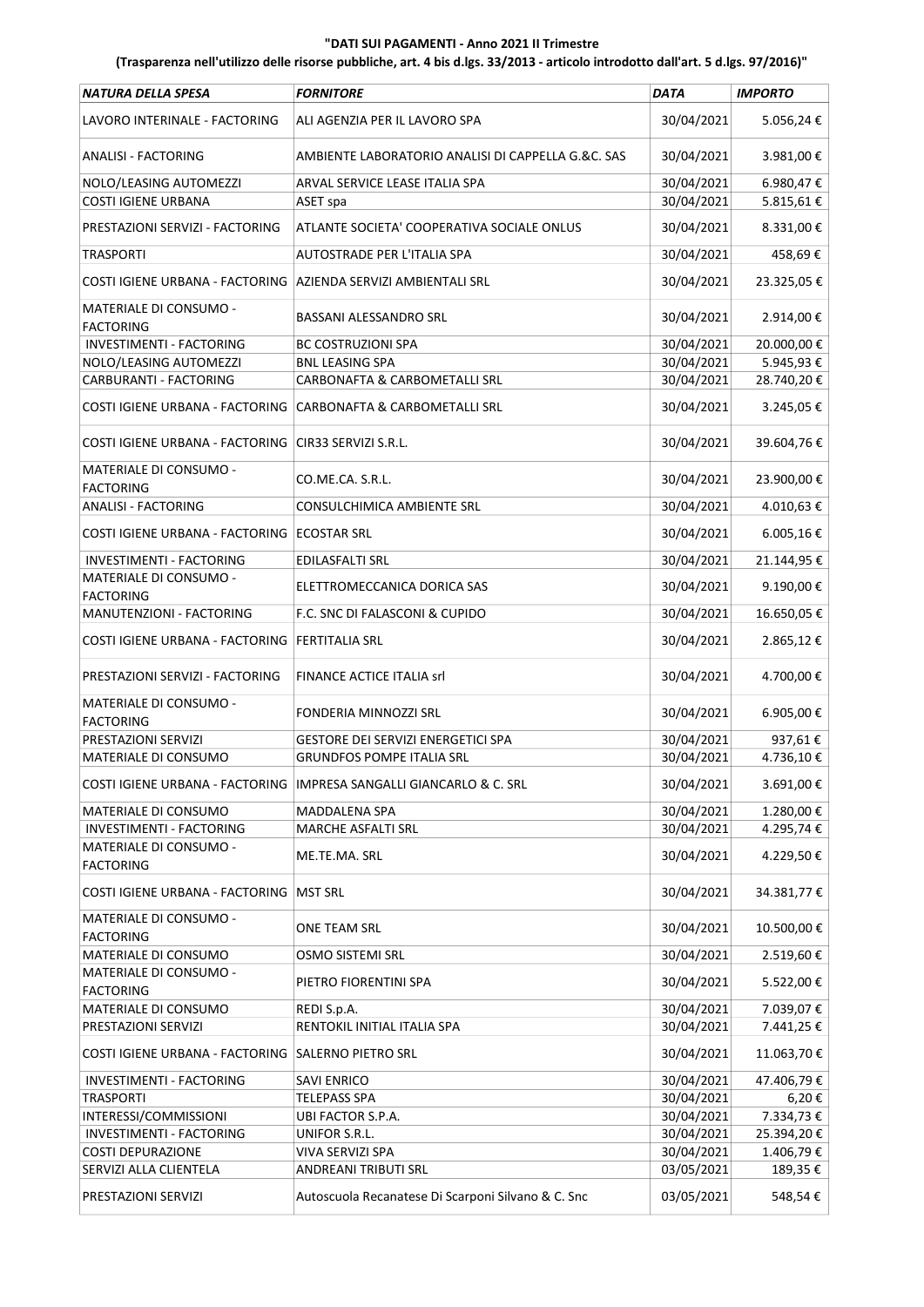| NATURA DELLA SPESA                                             | <b>FORNITORE</b>                                                     | <b>DATA</b> | <b>IMPORTO</b> |
|----------------------------------------------------------------|----------------------------------------------------------------------|-------------|----------------|
| LAVORO INTERINALE - FACTORING                                  | ALI AGENZIA PER IL LAVORO SPA                                        | 30/04/2021  | 5.056,24€      |
| <b>ANALISI - FACTORING</b>                                     | AMBIENTE LABORATORIO ANALISI DI CAPPELLA G.&C. SAS                   | 30/04/2021  | 3.981,00€      |
| NOLO/LEASING AUTOMEZZI                                         | ARVAL SERVICE LEASE ITALIA SPA                                       | 30/04/2021  | 6.980,47€      |
| <b>COSTI IGIENE URBANA</b>                                     | ASET spa                                                             | 30/04/2021  | 5.815,61€      |
| PRESTAZIONI SERVIZI - FACTORING                                | ATLANTE SOCIETA' COOPERATIVA SOCIALE ONLUS                           | 30/04/2021  | 8.331,00€      |
| <b>TRASPORTI</b>                                               | AUTOSTRADE PER L'ITALIA SPA                                          | 30/04/2021  | 458,69€        |
| COSTI IGIENE URBANA - FACTORING AZIENDA SERVIZI AMBIENTALI SRL |                                                                      | 30/04/2021  | 23.325,05€     |
| MATERIALE DI CONSUMO -<br><b>FACTORING</b>                     | BASSANI ALESSANDRO SRL                                               | 30/04/2021  | 2.914,00€      |
| INVESTIMENTI - FACTORING                                       | <b>BC COSTRUZIONI SPA</b>                                            | 30/04/2021  | 20.000,00€     |
| NOLO/LEASING AUTOMEZZI                                         | <b>BNL LEASING SPA</b>                                               | 30/04/2021  | 5.945,93€      |
| CARBURANTI - FACTORING                                         | CARBONAFTA & CARBOMETALLI SRL                                        | 30/04/2021  | 28.740,20€     |
| COSTI IGIENE URBANA - FACTORING                                | CARBONAFTA & CARBOMETALLI SRL                                        | 30/04/2021  | 3.245,05€      |
| COSTI IGIENE URBANA - FACTORING   CIR33 SERVIZI S.R.L.         |                                                                      | 30/04/2021  | 39.604,76€     |
| MATERIALE DI CONSUMO -<br><b>FACTORING</b>                     | CO.ME.CA. S.R.L.                                                     | 30/04/2021  | 23.900,00€     |
| <b>ANALISI - FACTORING</b>                                     | CONSULCHIMICA AMBIENTE SRL                                           | 30/04/2021  | 4.010,63€      |
| COSTI IGIENE URBANA - FACTORING   ECOSTAR SRL                  |                                                                      | 30/04/2021  | 6.005,16€      |
| INVESTIMENTI - FACTORING                                       | EDILASFALTI SRL                                                      | 30/04/2021  | 21.144,95€     |
| MATERIALE DI CONSUMO -<br><b>FACTORING</b>                     | ELETTROMECCANICA DORICA SAS                                          | 30/04/2021  | 9.190,00€      |
| MANUTENZIONI - FACTORING                                       | F.C. SNC DI FALASCONI & CUPIDO                                       | 30/04/2021  | 16.650,05€     |
| COSTI IGIENE URBANA - FACTORING                                | <b>FERTITALIA SRL</b>                                                | 30/04/2021  | 2.865,12€      |
| PRESTAZIONI SERVIZI - FACTORING                                | FINANCE ACTICE ITALIA srl                                            | 30/04/2021  | 4.700,00€      |
| MATERIALE DI CONSUMO -<br><b>FACTORING</b>                     | FONDERIA MINNOZZI SRL                                                | 30/04/2021  | 6.905,00€      |
| PRESTAZIONI SERVIZI                                            | GESTORE DEI SERVIZI ENERGETICI SPA                                   | 30/04/2021  | 937,61€        |
| MATERIALE DI CONSUMO                                           | <b>GRUNDFOS POMPE ITALIA SRL</b>                                     | 30/04/2021  | 4.736,10€      |
|                                                                | COSTI IGIENE URBANA - FACTORING  IMPRESA SANGALLI GIANCARLO & C. SRL | 30/04/2021  | 3.691,00€      |
| MATERIALE DI CONSUMO                                           | MADDALENA SPA                                                        | 30/04/2021  | 1.280,00€      |
| <b>INVESTIMENTI - FACTORING</b>                                | MARCHE ASFALTI SRL                                                   | 30/04/2021  | 4.295,74€      |
| MATERIALE DI CONSUMO -<br><b>FACTORING</b>                     | ME.TE.MA. SRL                                                        | 30/04/2021  | 4.229,50€      |
| COSTI IGIENE URBANA - FACTORING                                | <b>MST SRL</b>                                                       | 30/04/2021  | 34.381,77 €    |
| MATERIALE DI CONSUMO -<br><b>FACTORING</b>                     | ONE TEAM SRL                                                         | 30/04/2021  | 10.500,00€     |
| MATERIALE DI CONSUMO<br>MATERIALE DI CONSUMO -                 | OSMO SISTEMI SRL                                                     | 30/04/2021  | 2.519,60€      |
| <b>FACTORING</b>                                               | PIETRO FIORENTINI SPA                                                | 30/04/2021  | 5.522,00 €     |
| MATERIALE DI CONSUMO                                           | REDI S.p.A.                                                          | 30/04/2021  | 7.039,07€      |
| PRESTAZIONI SERVIZI                                            | RENTOKIL INITIAL ITALIA SPA                                          | 30/04/2021  | 7.441,25€      |
| COSTI IGIENE URBANA - FACTORING SALERNO PIETRO SRL             |                                                                      | 30/04/2021  | 11.063,70€     |
| INVESTIMENTI - FACTORING                                       | <b>SAVI ENRICO</b>                                                   | 30/04/2021  | 47.406,79€     |
| <b>TRASPORTI</b>                                               | <b>TELEPASS SPA</b>                                                  | 30/04/2021  | 6,20€          |
| INTERESSI/COMMISSIONI                                          | UBI FACTOR S.P.A.                                                    | 30/04/2021  | 7.334,73€      |
| INVESTIMENTI - FACTORING                                       | UNIFOR S.R.L.                                                        | 30/04/2021  | 25.394,20€     |
| <b>COSTI DEPURAZIONE</b>                                       | VIVA SERVIZI SPA                                                     | 30/04/2021  | 1.406,79€      |
| SERVIZI ALLA CLIENTELA                                         | ANDREANI TRIBUTI SRL                                                 | 03/05/2021  | 189,35€        |
| PRESTAZIONI SERVIZI                                            | Autoscuola Recanatese Di Scarponi Silvano & C. Snc                   | 03/05/2021  | 548,54€        |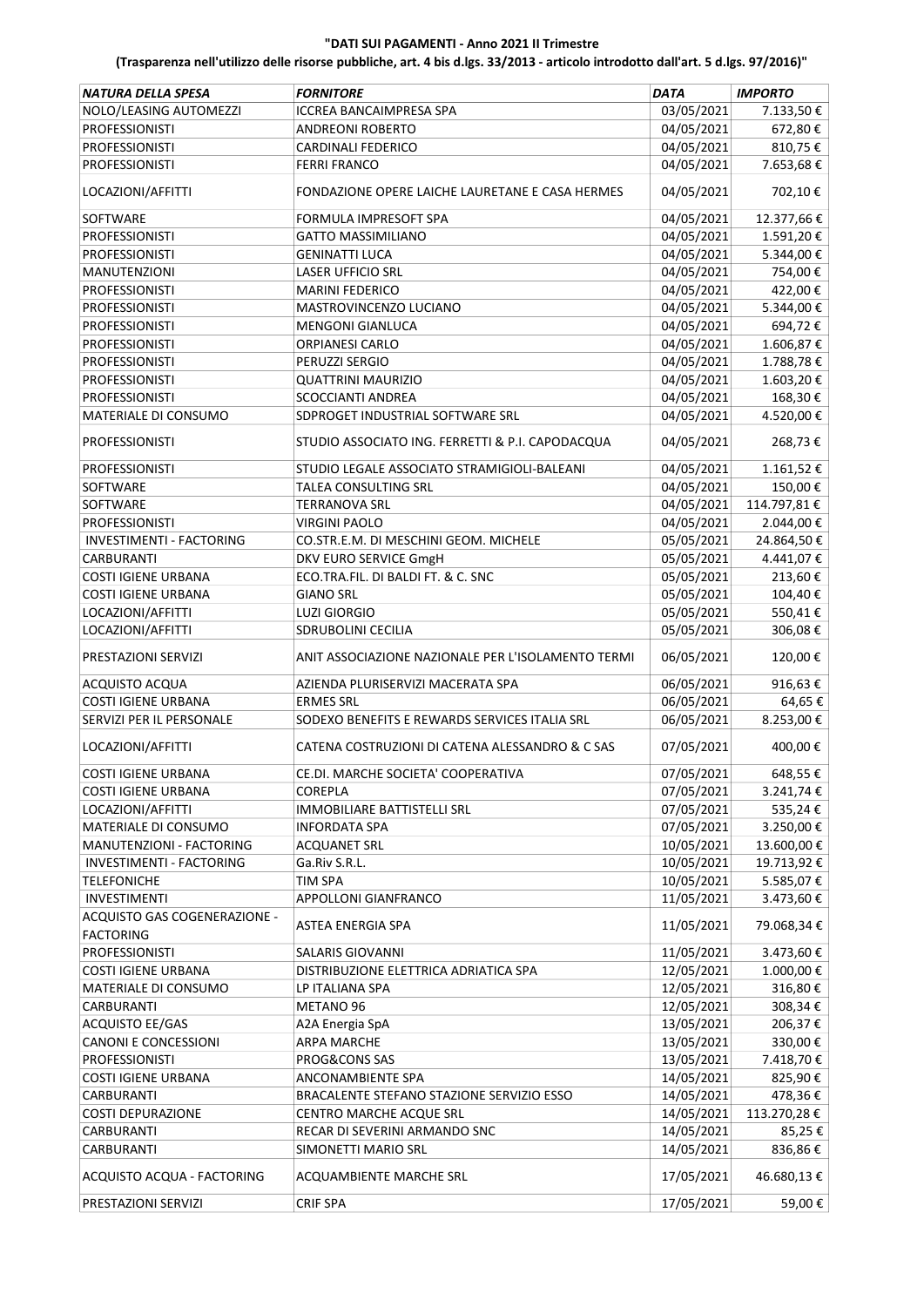| NATURA DELLA SPESA                               | <b>FORNITORE</b>                                       | <b>DATA</b>              | <b>IMPORTO</b>     |
|--------------------------------------------------|--------------------------------------------------------|--------------------------|--------------------|
| NOLO/LEASING AUTOMEZZI                           | ICCREA BANCAIMPRESA SPA                                | 03/05/2021               | 7.133,50€          |
| <b>PROFESSIONISTI</b>                            | ANDREONI ROBERTO                                       | 04/05/2021               | 672,80€            |
| <b>PROFESSIONISTI</b>                            | <b>CARDINALI FEDERICO</b>                              | 04/05/2021               | 810,75€            |
| <b>PROFESSIONISTI</b>                            | <b>FERRI FRANCO</b>                                    | 04/05/2021               | 7.653,68€          |
| LOCAZIONI/AFFITTI                                | FONDAZIONE OPERE LAICHE LAURETANE E CASA HERMES        | 04/05/2021               | 702,10€            |
| SOFTWARE                                         | FORMULA IMPRESOFT SPA                                  | 04/05/2021               | 12.377,66€         |
| <b>PROFESSIONISTI</b>                            | <b>GATTO MASSIMILIANO</b>                              | 04/05/2021               | 1.591,20€          |
| <b>PROFESSIONISTI</b>                            | <b>GENINATTI LUCA</b>                                  | 04/05/2021               | 5.344,00€          |
| <b>MANUTENZIONI</b>                              | LASER UFFICIO SRL                                      | 04/05/2021               | 754,00€            |
| <b>PROFESSIONISTI</b>                            | <b>MARINI FEDERICO</b>                                 | 04/05/2021               | 422,00€            |
| <b>PROFESSIONISTI</b>                            | MASTROVINCENZO LUCIANO                                 | 04/05/2021               | 5.344,00 €         |
| <b>PROFESSIONISTI</b>                            | <b>MENGONI GIANLUCA</b>                                | 04/05/2021               | 694,72€            |
| <b>PROFESSIONISTI</b>                            | <b>ORPIANESI CARLO</b>                                 | 04/05/2021               | 1.606,87€          |
| <b>PROFESSIONISTI</b>                            | PERUZZI SERGIO                                         | 04/05/2021               | 1.788,78€          |
| <b>PROFESSIONISTI</b>                            | <b>QUATTRINI MAURIZIO</b>                              | 04/05/2021               | 1.603,20€          |
| <b>PROFESSIONISTI</b>                            | SCOCCIANTI ANDREA                                      | 04/05/2021               | 168,30€            |
| MATERIALE DI CONSUMO                             | SDPROGET INDUSTRIAL SOFTWARE SRL                       | 04/05/2021               | 4.520,00€          |
| <b>PROFESSIONISTI</b>                            | STUDIO ASSOCIATO ING. FERRETTI & P.I. CAPODACQUA       | 04/05/2021               | 268,73€            |
| <b>PROFESSIONISTI</b>                            | STUDIO LEGALE ASSOCIATO STRAMIGIOLI-BALEANI            | 04/05/2021               | 1.161,52€          |
| SOFTWARE                                         | TALEA CONSULTING SRL                                   | 04/05/2021               | 150,00€            |
| SOFTWARE                                         | <b>TERRANOVA SRL</b>                                   | 04/05/2021               | 114.797,81€        |
| <b>PROFESSIONISTI</b>                            | <b>VIRGINI PAOLO</b>                                   | 04/05/2021               | 2.044,00€          |
| <b>INVESTIMENTI - FACTORING</b>                  | CO.STR.E.M. DI MESCHINI GEOM. MICHELE                  | 05/05/2021               | 24.864,50€         |
| <b>CARBURANTI</b>                                |                                                        |                          |                    |
| <b>COSTI IGIENE URBANA</b>                       | DKV EURO SERVICE GmgH                                  | 05/05/2021               | 4.441,07€          |
| <b>COSTI IGIENE URBANA</b>                       | ECO.TRA.FIL. DI BALDI FT. & C. SNC<br><b>GIANO SRL</b> | 05/05/2021<br>05/05/2021 | 213,60€            |
| LOCAZIONI/AFFITTI                                | <b>LUZI GIORGIO</b>                                    | 05/05/2021               | 104,40€<br>550,41€ |
| LOCAZIONI/AFFITTI                                | SDRUBOLINI CECILIA                                     | 05/05/2021               | 306,08€            |
|                                                  |                                                        |                          |                    |
| PRESTAZIONI SERVIZI                              | ANIT ASSOCIAZIONE NAZIONALE PER L'ISOLAMENTO TERMI     | 06/05/2021               | 120,00€            |
| ACQUISTO ACQUA                                   | AZIENDA PLURISERVIZI MACERATA SPA                      | 06/05/2021               | 916,63€            |
| <b>COSTI IGIENE URBANA</b>                       | <b>ERMES SRL</b>                                       | 06/05/2021               | 64,65€             |
| SERVIZI PER IL PERSONALE                         | SODEXO BENEFITS E REWARDS SERVICES ITALIA SRL          | 06/05/2021               | 8.253,00€          |
| LOCAZIONI/AFFITTI                                | CATENA COSTRUZIONI DI CATENA ALESSANDRO & C SAS        | 07/05/2021               | 400,00€            |
| COSTI IGIENE URBANA                              | CE.DI. MARCHE SOCIETA' COOPERATIVA                     | 07/05/2021               | 648,55€            |
| <b>COSTI IGIENE URBANA</b>                       | COREPLA                                                | 07/05/2021               | 3.241,74€          |
| LOCAZIONI/AFFITTI                                | IMMOBILIARE BATTISTELLI SRL                            | 07/05/2021               | 535,24€            |
| MATERIALE DI CONSUMO                             | INFORDATA SPA                                          | 07/05/2021               | 3.250,00 €         |
| MANUTENZIONI - FACTORING                         | ACQUANET SRL                                           | 10/05/2021               | 13.600,00 €        |
| INVESTIMENTI - FACTORING                         | Ga.Riv S.R.L.                                          | 10/05/2021               | 19.713,92€         |
| TELEFONICHE                                      | TIM SPA                                                | 10/05/2021               | 5.585,07€          |
| <b>INVESTIMENTI</b>                              | APPOLLONI GIANFRANCO                                   | 11/05/2021               | 3.473,60€          |
| ACQUISTO GAS COGENERAZIONE -<br><b>FACTORING</b> | ASTEA ENERGIA SPA                                      | 11/05/2021               | 79.068,34€         |
| <b>PROFESSIONISTI</b>                            | SALARIS GIOVANNI                                       | 11/05/2021               | 3.473,60€          |
| <b>COSTI IGIENE URBANA</b>                       | DISTRIBUZIONE ELETTRICA ADRIATICA SPA                  | 12/05/2021               | 1.000,00€          |
| MATERIALE DI CONSUMO                             | LP ITALIANA SPA                                        | 12/05/2021               | 316,80€            |
| <b>CARBURANTI</b>                                | METANO 96                                              | 12/05/2021               | 308,34€            |
| <b>ACQUISTO EE/GAS</b>                           | A2A Energia SpA                                        | 13/05/2021               | 206,37€            |
| <b>CANONI E CONCESSIONI</b>                      | ARPA MARCHE                                            | 13/05/2021               | 330,00€            |
| <b>PROFESSIONISTI</b>                            | PROG&CONS SAS                                          | 13/05/2021               | 7.418,70€          |
| <b>COSTI IGIENE URBANA</b>                       | ANCONAMBIENTE SPA                                      | 14/05/2021               | 825,90€            |
| CARBURANTI                                       | BRACALENTE STEFANO STAZIONE SERVIZIO ESSO              | 14/05/2021               | 478,36€            |
| <b>COSTI DEPURAZIONE</b>                         | CENTRO MARCHE ACQUE SRL                                | 14/05/2021               | 113.270,28€        |
| <b>CARBURANTI</b>                                | RECAR DI SEVERINI ARMANDO SNC                          | 14/05/2021               | 85,25€             |
| <b>CARBURANTI</b>                                | SIMONETTI MARIO SRL                                    | 14/05/2021               | 836,86€            |
| ACQUISTO ACQUA - FACTORING                       | ACQUAMBIENTE MARCHE SRL                                | 17/05/2021               | 46.680,13€         |
| PRESTAZIONI SERVIZI                              | <b>CRIF SPA</b>                                        | 17/05/2021               | 59,00€             |
|                                                  |                                                        |                          |                    |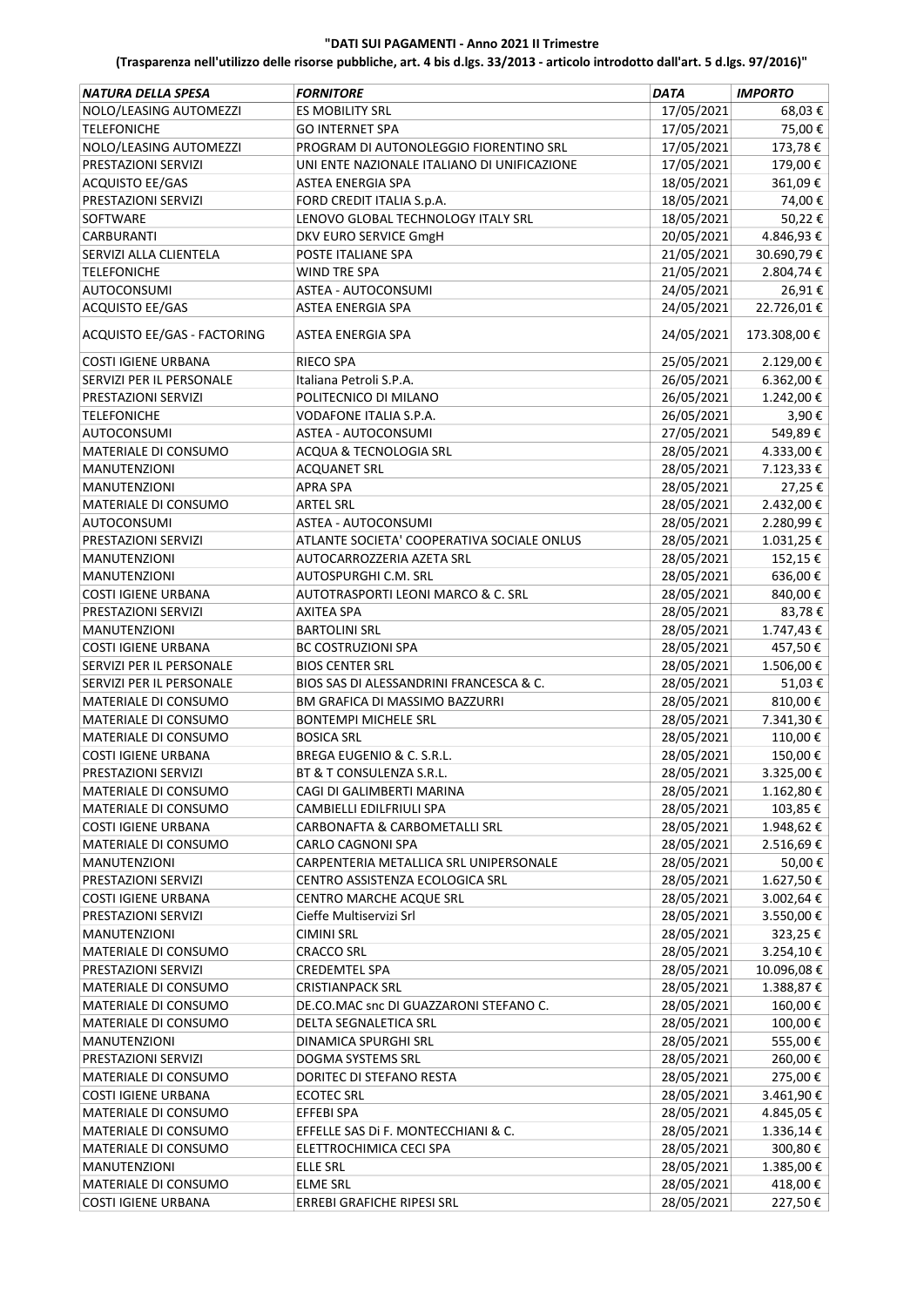| <b>NATURA DELLA SPESA</b>                          | <b>FORNITORE</b>                               | DATA       | <b>IMPORTO</b> |
|----------------------------------------------------|------------------------------------------------|------------|----------------|
| NOLO/LEASING AUTOMEZZI                             | <b>ES MOBILITY SRL</b>                         | 17/05/2021 | 68,03€         |
| <b>TELEFONICHE</b>                                 | <b>GO INTERNET SPA</b>                         | 17/05/2021 | 75,00€         |
| NOLO/LEASING AUTOMEZZI                             | PROGRAM DI AUTONOLEGGIO FIORENTINO SRL         | 17/05/2021 | 173,78€        |
| PRESTAZIONI SERVIZI                                | UNI ENTE NAZIONALE ITALIANO DI UNIFICAZIONE    | 17/05/2021 | 179,00€        |
| <b>ACQUISTO EE/GAS</b>                             | ASTEA ENERGIA SPA                              | 18/05/2021 | 361,09€        |
| PRESTAZIONI SERVIZI                                | FORD CREDIT ITALIA S.p.A.                      | 18/05/2021 | 74,00€         |
| SOFTWARE                                           | LENOVO GLOBAL TECHNOLOGY ITALY SRL             | 18/05/2021 | 50,22€         |
| CARBURANTI                                         | DKV EURO SERVICE GmgH                          | 20/05/2021 | 4.846,93€      |
| SERVIZI ALLA CLIENTELA                             | POSTE ITALIANE SPA                             | 21/05/2021 | 30.690,79€     |
| <b>TELEFONICHE</b>                                 | <b>WIND TRE SPA</b>                            | 21/05/2021 | 2.804,74€      |
| <b>AUTOCONSUMI</b>                                 | ASTEA - AUTOCONSUMI                            | 24/05/2021 | 26,91€         |
| <b>ACQUISTO EE/GAS</b>                             | <b>ASTEA ENERGIA SPA</b>                       | 24/05/2021 | 22.726,01€     |
|                                                    |                                                |            |                |
| ACQUISTO EE/GAS - FACTORING                        | ASTEA ENERGIA SPA                              | 24/05/2021 | 173.308,00€    |
| COSTI IGIENE URBANA                                | <b>RIECO SPA</b>                               | 25/05/2021 | 2.129,00€      |
| SERVIZI PER IL PERSONALE                           | Italiana Petroli S.P.A.                        | 26/05/2021 | $6.362,00 \in$ |
| PRESTAZIONI SERVIZI                                | POLITECNICO DI MILANO                          | 26/05/2021 | 1.242,00€      |
| <b>TELEFONICHE</b>                                 | <b>VODAFONE ITALIA S.P.A.</b>                  | 26/05/2021 | 3,90€          |
| <b>AUTOCONSUMI</b>                                 | <b>ASTEA - AUTOCONSUMI</b>                     | 27/05/2021 | 549,89€        |
| MATERIALE DI CONSUMO                               | ACQUA & TECNOLOGIA SRL                         | 28/05/2021 | 4.333,00€      |
| <b>MANUTENZIONI</b>                                | <b>ACQUANET SRL</b>                            | 28/05/2021 | 7.123,33 €     |
| <b>MANUTENZIONI</b>                                | <b>APRA SPA</b>                                | 28/05/2021 | 27,25€         |
| MATERIALE DI CONSUMO                               | <b>ARTEL SRL</b>                               | 28/05/2021 | 2.432,00€      |
| AUTOCONSUMI                                        | ASTEA - AUTOCONSUMI                            | 28/05/2021 | 2.280,99€      |
| PRESTAZIONI SERVIZI                                | ATLANTE SOCIETA' COOPERATIVA SOCIALE ONLUS     | 28/05/2021 | 1.031,25€      |
| <b>MANUTENZIONI</b>                                | AUTOCARROZZERIA AZETA SRL                      | 28/05/2021 | 152,15€        |
| <b>MANUTENZIONI</b>                                | AUTOSPURGHI C.M. SRL                           | 28/05/2021 | 636,00€        |
| COSTI IGIENE URBANA                                | AUTOTRASPORTI LEONI MARCO & C. SRL             | 28/05/2021 | 840,00€        |
| PRESTAZIONI SERVIZI                                | <b>AXITEA SPA</b>                              | 28/05/2021 | 83,78€         |
| <b>MANUTENZIONI</b>                                | <b>BARTOLINI SRL</b>                           | 28/05/2021 | 1.747,43€      |
| <b>COSTI IGIENE URBANA</b>                         | <b>BC COSTRUZIONI SPA</b>                      | 28/05/2021 | 457,50€        |
| SERVIZI PER IL PERSONALE                           | <b>BIOS CENTER SRL</b>                         | 28/05/2021 | 1.506,00€      |
| SERVIZI PER IL PERSONALE                           | BIOS SAS DI ALESSANDRINI FRANCESCA & C.        | 28/05/2021 | 51,03€         |
| MATERIALE DI CONSUMO                               | BM GRAFICA DI MASSIMO BAZZURRI                 | 28/05/2021 | 810,00€        |
| <b>MATERIALE DI CONSUMO</b>                        | <b>BONTEMPI MICHELE SRL</b>                    | 28/05/2021 | 7.341,30€      |
|                                                    |                                                | 28/05/2021 | 110,00€        |
| MATERIALE DI CONSUMO<br><b>COSTI IGIENE URBANA</b> | <b>BOSICA SRL</b><br>BREGA EUGENIO & C. S.R.L. | 28/05/2021 | 150,00€        |
|                                                    |                                                |            |                |
| PRESTAZIONI SERVIZI                                | BT & T CONSULENZA S.R.L                        | 28/05/2021 | 3.325,00€      |
| MATERIALE DI CONSUMO                               | CAGI DI GALIMBERTI MARINA                      | 28/05/2021 | 1.162,80 €     |
| MATERIALE DI CONSUMO                               | CAMBIELLI EDILFRIULI SPA                       | 28/05/2021 | 103,85 €       |
| <b>COSTI IGIENE URBANA</b>                         | CARBONAFTA & CARBOMETALLI SRL                  | 28/05/2021 | 1.948,62€      |
| MATERIALE DI CONSUMO                               | CARLO CAGNONI SPA                              | 28/05/2021 | 2.516,69€      |
| <b>MANUTENZIONI</b>                                | CARPENTERIA METALLICA SRL UNIPERSONALE         | 28/05/2021 | 50,00€         |
| PRESTAZIONI SERVIZI                                | CENTRO ASSISTENZA ECOLOGICA SRL                | 28/05/2021 | 1.627,50€      |
| <b>COSTI IGIENE URBANA</b>                         | CENTRO MARCHE ACQUE SRL                        | 28/05/2021 | 3.002,64€      |
| PRESTAZIONI SERVIZI                                | Cieffe Multiservizi Srl                        | 28/05/2021 | 3.550,00€      |
| <b>MANUTENZIONI</b>                                | <b>CIMINI SRL</b>                              | 28/05/2021 | 323,25€        |
| MATERIALE DI CONSUMO                               | <b>CRACCO SRL</b>                              | 28/05/2021 | 3.254,10€      |
| PRESTAZIONI SERVIZI                                | <b>CREDEMTEL SPA</b>                           | 28/05/2021 | 10.096,08€     |
| MATERIALE DI CONSUMO                               | <b>CRISTIANPACK SRL</b>                        | 28/05/2021 | 1.388,87€      |
| MATERIALE DI CONSUMO                               | DE.CO.MAC snc DI GUAZZARONI STEFANO C.         | 28/05/2021 | 160,00€        |
| MATERIALE DI CONSUMO                               | DELTA SEGNALETICA SRL                          | 28/05/2021 | 100,00€        |
| MANUTENZIONI                                       | DINAMICA SPURGHI SRL                           | 28/05/2021 | 555,00€        |
| PRESTAZIONI SERVIZI                                | DOGMA SYSTEMS SRL                              | 28/05/2021 | 260,00€        |
| MATERIALE DI CONSUMO                               | DORITEC DI STEFANO RESTA                       | 28/05/2021 | 275,00€        |
| <b>COSTI IGIENE URBANA</b>                         | <b>ECOTEC SRL</b>                              | 28/05/2021 | 3.461,90€      |
| MATERIALE DI CONSUMO                               | EFFEBI SPA                                     | 28/05/2021 | 4.845,05 €     |
| MATERIALE DI CONSUMO                               | EFFELLE SAS Di F. MONTECCHIANI & C.            | 28/05/2021 | 1.336,14€      |
| MATERIALE DI CONSUMO                               | ELETTROCHIMICA CECI SPA                        | 28/05/2021 | 300,80€        |
| MANUTENZIONI                                       | ELLE SRL                                       | 28/05/2021 | 1.385,00€      |
| MATERIALE DI CONSUMO                               | <b>ELME SRL</b>                                | 28/05/2021 | 418,00€        |
| <b>COSTI IGIENE URBANA</b>                         | ERREBI GRAFICHE RIPESI SRL                     | 28/05/2021 | 227,50€        |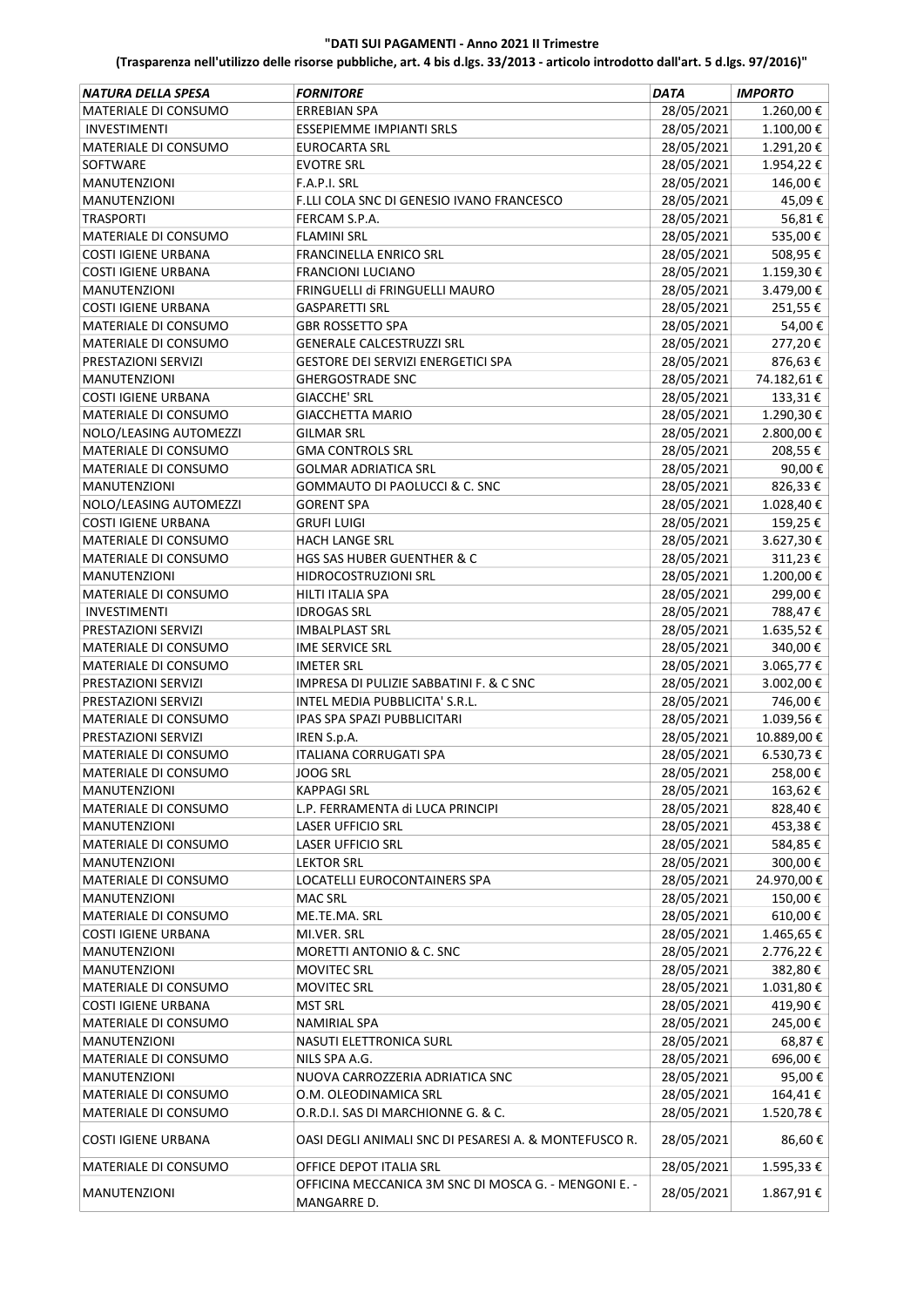| <b>NATURA DELLA SPESA</b>  | <b>FORNITORE</b>                                      | <b>DATA</b> | <b>IMPORTO</b>        |
|----------------------------|-------------------------------------------------------|-------------|-----------------------|
| MATERIALE DI CONSUMO       | <b>ERREBIAN SPA</b>                                   | 28/05/2021  | 1.260,00€             |
| <b>INVESTIMENTI</b>        | ESSEPIEMME IMPIANTI SRLS                              | 28/05/2021  | $1.100,00$ $\in$      |
| MATERIALE DI CONSUMO       | <b>EUROCARTA SRL</b>                                  | 28/05/2021  | 1.291,20€             |
| SOFTWARE                   | <b>EVOTRE SRL</b>                                     | 28/05/2021  | 1.954,22€             |
| <b>MANUTENZIONI</b>        | F.A.P.I. SRL                                          | 28/05/2021  | 146,00€               |
| <b>MANUTENZIONI</b>        | F.LLI COLA SNC DI GENESIO IVANO FRANCESCO             | 28/05/2021  | 45,09€                |
| <b>TRASPORTI</b>           | FERCAM S.P.A.                                         | 28/05/2021  | 56,81€                |
| MATERIALE DI CONSUMO       | <b>FLAMINI SRL</b>                                    | 28/05/2021  | 535,00€               |
| <b>COSTI IGIENE URBANA</b> | <b>FRANCINELLA ENRICO SRL</b>                         | 28/05/2021  | 508,95€               |
| <b>COSTI IGIENE URBANA</b> | <b>FRANCIONI LUCIANO</b>                              | 28/05/2021  | 1.159,30€             |
| <b>MANUTENZIONI</b>        | FRINGUELLI di FRINGUELLI MAURO                        | 28/05/2021  | 3.479,00€             |
| <b>COSTI IGIENE URBANA</b> | <b>GASPARETTI SRL</b>                                 | 28/05/2021  | 251,55€               |
| MATERIALE DI CONSUMO       | <b>GBR ROSSETTO SPA</b>                               | 28/05/2021  | 54,00€                |
| MATERIALE DI CONSUMO       | <b>GENERALE CALCESTRUZZI SRL</b>                      | 28/05/2021  | 277,20€               |
| PRESTAZIONI SERVIZI        | <b>GESTORE DEI SERVIZI ENERGETICI SPA</b>             | 28/05/2021  | 876,63€               |
| <b>MANUTENZIONI</b>        | <b>GHERGOSTRADE SNC</b>                               | 28/05/2021  | 74.182,61€            |
| <b>COSTI IGIENE URBANA</b> | <b>GIACCHE' SRL</b>                                   | 28/05/2021  | 133,31€               |
| MATERIALE DI CONSUMO       | <b>GIACCHETTA MARIO</b>                               | 28/05/2021  | 1.290,30€             |
| NOLO/LEASING AUTOMEZZI     | <b>GILMAR SRL</b>                                     | 28/05/2021  | 2.800,00€             |
| MATERIALE DI CONSUMO       | <b>GMA CONTROLS SRL</b>                               | 28/05/2021  | 208,55€               |
| MATERIALE DI CONSUMO       | <b>GOLMAR ADRIATICA SRL</b>                           | 28/05/2021  | 90,00€                |
| <b>MANUTENZIONI</b>        | <b>GOMMAUTO DI PAOLUCCI &amp; C. SNC</b>              | 28/05/2021  | 826,33€               |
| NOLO/LEASING AUTOMEZZI     | <b>GORENT SPA</b>                                     | 28/05/2021  | 1.028,40€             |
| <b>COSTI IGIENE URBANA</b> | <b>GRUFI LUIGI</b>                                    | 28/05/2021  | 159,25€               |
| MATERIALE DI CONSUMO       | <b>HACH LANGE SRL</b>                                 | 28/05/2021  | 3.627,30€             |
| MATERIALE DI CONSUMO       | <b>HGS SAS HUBER GUENTHER &amp; C</b>                 | 28/05/2021  | 311,23€               |
| <b>MANUTENZIONI</b>        | HIDROCOSTRUZIONI SRL                                  | 28/05/2021  | 1.200,00€             |
| MATERIALE DI CONSUMO       | HILTI ITALIA SPA                                      | 28/05/2021  | 299,00€               |
| <b>INVESTIMENTI</b>        | <b>IDROGAS SRL</b>                                    | 28/05/2021  | 788,47€               |
| PRESTAZIONI SERVIZI        | <b>IMBALPLAST SRL</b>                                 | 28/05/2021  | 1.635,52€             |
| MATERIALE DI CONSUMO       | <b>IME SERVICE SRL</b>                                | 28/05/2021  | 340,00€               |
| MATERIALE DI CONSUMO       | <b>IMETER SRL</b>                                     | 28/05/2021  | 3.065,77€             |
| PRESTAZIONI SERVIZI        | IMPRESA DI PULIZIE SABBATINI F. & C SNC               | 28/05/2021  | 3.002,00 €            |
| PRESTAZIONI SERVIZI        | INTEL MEDIA PUBBLICITA' S.R.L.                        | 28/05/2021  | 746,00€               |
| MATERIALE DI CONSUMO       | IPAS SPA SPAZI PUBBLICITARI                           | 28/05/2021  | 1.039,56€             |
| PRESTAZIONI SERVIZI        | IREN S.p.A.                                           | 28/05/2021  | 10.889,00 €           |
| MATERIALE DI CONSUMO       | <b>ITALIANA CORRUGATI SPA</b>                         | 28/05/2021  | 6.530,73€             |
| MATERIALE DI CONSUMO       | JOOG SRL                                              | 28/05/2021  | 258.00€               |
| <b>MANUTENZIONI</b>        | <b>KAPPAGI SRL</b>                                    | 28/05/2021  | 163,62€               |
| MATERIALE DI CONSUMO       | L.P. FERRAMENTA di LUCA PRINCIPI                      | 28/05/2021  | 828,40€               |
| <b>MANUTENZIONI</b>        | <b>LASER UFFICIO SRL</b>                              | 28/05/2021  | 453,38€               |
| MATERIALE DI CONSUMO       | <b>LASER UFFICIO SRL</b>                              | 28/05/2021  | 584,85€               |
| MANUTENZIONI               | <b>LEKTOR SRL</b>                                     | 28/05/2021  | 300,00€               |
| MATERIALE DI CONSUMO       | LOCATELLI EUROCONTAINERS SPA                          | 28/05/2021  | 24.970,00€            |
| MANUTENZIONI               | <b>MAC SRL</b>                                        | 28/05/2021  | 150,00€               |
| MATERIALE DI CONSUMO       | ME.TE.MA. SRL                                         | 28/05/2021  | 610,00€               |
| <b>COSTI IGIENE URBANA</b> | MI.VER. SRL                                           | 28/05/2021  | 1.465,65€             |
| MANUTENZIONI               | MORETTI ANTONIO & C. SNC                              | 28/05/2021  | 2.776,22€             |
| MANUTENZIONI               | <b>MOVITEC SRL</b>                                    | 28/05/2021  | 382,80€               |
| MATERIALE DI CONSUMO       | <b>MOVITEC SRL</b>                                    | 28/05/2021  | $1.031,80 \ \epsilon$ |
| <b>COSTI IGIENE URBANA</b> | <b>MST SRL</b>                                        | 28/05/2021  | 419,90€               |
| MATERIALE DI CONSUMO       | <b>NAMIRIAL SPA</b>                                   | 28/05/2021  | 245,00€               |
| <b>MANUTENZIONI</b>        | NASUTI ELETTRONICA SURL                               | 28/05/2021  | 68,87€                |
| MATERIALE DI CONSUMO       | NILS SPA A.G.                                         | 28/05/2021  | 696,00€               |
| MANUTENZIONI               | NUOVA CARROZZERIA ADRIATICA SNC                       | 28/05/2021  | 95,00€                |
| MATERIALE DI CONSUMO       | O.M. OLEODINAMICA SRL                                 | 28/05/2021  | 164,41€               |
| MATERIALE DI CONSUMO       | O.R.D.I. SAS DI MARCHIONNE G. & C.                    | 28/05/2021  | 1.520,78€             |
| <b>COSTI IGIENE URBANA</b> | OASI DEGLI ANIMALI SNC DI PESARESI A. & MONTEFUSCO R. | 28/05/2021  | 86,60€                |
| MATERIALE DI CONSUMO       | OFFICE DEPOT ITALIA SRL                               | 28/05/2021  | 1.595,33€             |
|                            | OFFICINA MECCANICA 3M SNC DI MOSCA G. - MENGONI E. -  |             |                       |
| <b>MANUTENZIONI</b>        | MANGARRE D.                                           | 28/05/2021  | 1.867,91€             |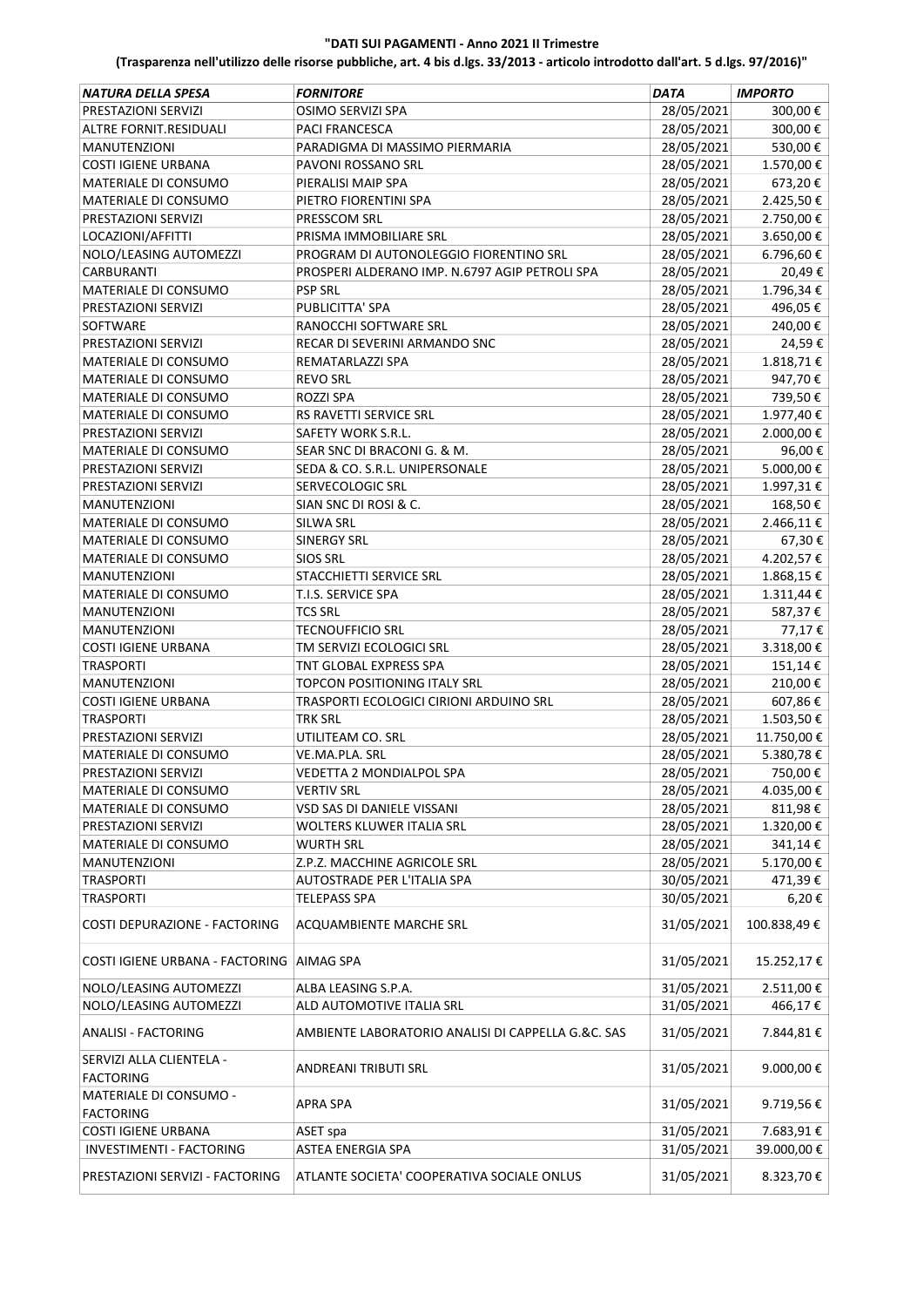| NATURA DELLA SPESA                           | <i><b>FORNITORE</b></i>                            | <b>DATA</b>              | <b>IMPORTO</b>       |
|----------------------------------------------|----------------------------------------------------|--------------------------|----------------------|
| PRESTAZIONI SERVIZI                          | OSIMO SERVIZI SPA                                  | 28/05/2021               | 300,00€              |
| ALTRE FORNIT.RESIDUALI                       | <b>PACI FRANCESCA</b>                              | 28/05/2021               | 300,00€              |
| <b>MANUTENZIONI</b>                          | PARADIGMA DI MASSIMO PIERMARIA                     | 28/05/2021               | 530,00€              |
| COSTI IGIENE URBANA                          | PAVONI ROSSANO SRL                                 | 28/05/2021               | 1.570,00€            |
| MATERIALE DI CONSUMO                         | PIERALISI MAIP SPA                                 | 28/05/2021               | 673,20€              |
| MATERIALE DI CONSUMO                         | PIETRO FIORENTINI SPA                              | 28/05/2021               | 2.425,50€            |
| PRESTAZIONI SERVIZI                          | PRESSCOM SRL                                       | 28/05/2021               | 2.750,00€            |
| LOCAZIONI/AFFITTI                            | PRISMA IMMOBILIARE SRL                             | 28/05/2021               | 3.650,00€            |
| NOLO/LEASING AUTOMEZZI                       | PROGRAM DI AUTONOLEGGIO FIORENTINO SRL             | 28/05/2021               | 6.796,60€            |
| <b>CARBURANTI</b>                            | PROSPERI ALDERANO IMP. N.6797 AGIP PETROLI SPA     | 28/05/2021               | 20,49€               |
| MATERIALE DI CONSUMO                         | <b>PSP SRL</b>                                     | 28/05/2021               | 1.796,34€            |
| PRESTAZIONI SERVIZI                          | PUBLICITTA' SPA                                    | 28/05/2021               | 496,05€              |
| <b>SOFTWARE</b>                              | RANOCCHI SOFTWARE SRL                              | 28/05/2021               | 240,00€              |
| PRESTAZIONI SERVIZI                          | RECAR DI SEVERINI ARMANDO SNC                      | 28/05/2021               | 24,59€               |
| MATERIALE DI CONSUMO                         | REMATARLAZZI SPA                                   | 28/05/2021               | 1.818,71€            |
| MATERIALE DI CONSUMO                         | <b>REVO SRL</b>                                    | 28/05/2021               | 947,70€              |
| MATERIALE DI CONSUMO                         | ROZZI SPA                                          | 28/05/2021               | 739,50€              |
| MATERIALE DI CONSUMO                         | RS RAVETTI SERVICE SRL                             | 28/05/2021               | 1.977,40€            |
| PRESTAZIONI SERVIZI                          | SAFETY WORK S.R.L.                                 | 28/05/2021               | 2.000,00€            |
| MATERIALE DI CONSUMO                         | SEAR SNC DI BRACONI G. & M.                        | 28/05/2021               | 96,00€               |
| PRESTAZIONI SERVIZI                          | SEDA & CO. S.R.L. UNIPERSONALE                     | 28/05/2021               | 5.000,00€            |
| PRESTAZIONI SERVIZI                          | SERVECOLOGIC SRL                                   | 28/05/2021               | 1.997,31€            |
| <b>MANUTENZIONI</b>                          | SIAN SNC DI ROSI & C.                              | 28/05/2021               | 168,50€              |
| MATERIALE DI CONSUMO                         | SILWA SRL                                          | 28/05/2021               | 2.466,11€            |
| MATERIALE DI CONSUMO                         | <b>SINERGY SRL</b>                                 | 28/05/2021               | 67,30€               |
| MATERIALE DI CONSUMO                         | <b>SIOS SRL</b>                                    | 28/05/2021               | 4.202,57€            |
| <b>MANUTENZIONI</b>                          | STACCHIETTI SERVICE SRL                            | 28/05/2021               | 1.868,15€            |
| MATERIALE DI CONSUMO                         | T.I.S. SERVICE SPA                                 | 28/05/2021               | $1.311,44 \in$       |
| <b>MANUTENZIONI</b>                          | <b>TCS SRL</b>                                     | 28/05/2021               | 587,37€              |
| <b>MANUTENZIONI</b>                          | <b>TECNOUFFICIO SRL</b>                            | 28/05/2021               | 77,17€               |
| COSTI IGIENE URBANA                          | TM SERVIZI ECOLOGICI SRL                           | 28/05/2021               | 3.318,00€            |
| <b>TRASPORTI</b>                             | TNT GLOBAL EXPRESS SPA                             | 28/05/2021               | 151,14€              |
| <b>MANUTENZIONI</b>                          | <b>TOPCON POSITIONING ITALY SRL</b>                | 28/05/2021               | 210,00€              |
| <b>COSTI IGIENE URBANA</b>                   | TRASPORTI ECOLOGICI CIRIONI ARDUINO SRL            | 28/05/2021               | 607,86€              |
| <b>TRASPORTI</b>                             | <b>TRK SRL</b>                                     | 28/05/2021               | 1.503,50€            |
| PRESTAZIONI SERVIZI                          | UTILITEAM CO. SRL                                  | 28/05/2021               | 11.750,00 €          |
| MATERIALE DI CONSUMO                         | VE.MA.PLA. SRL                                     | 28/05/2021               | 5.380,78€            |
|                                              |                                                    | 28/05/2021               |                      |
| PRESTAZIONI SERVIZI                          | VEDETTA 2 MONDIALPOL SPA                           |                          | 750,00 €             |
| MATERIALE DI CONSUMO                         | <b>VERTIV SRL</b>                                  | 28/05/2021               | 4.035,00 €           |
| MATERIALE DI CONSUMO                         | VSD SAS DI DANIELE VISSANI                         | 28/05/2021<br>28/05/2021 | 811,98€<br>1.320,00€ |
| PRESTAZIONI SERVIZI                          | WOLTERS KLUWER ITALIA SRL                          |                          |                      |
| MATERIALE DI CONSUMO                         | <b>WURTH SRL</b>                                   | 28/05/2021               | 341,14€              |
| MANUTENZIONI                                 | Z.P.Z. MACCHINE AGRICOLE SRL                       | 28/05/2021               | 5.170,00€            |
| <b>TRASPORTI</b>                             | AUTOSTRADE PER L'ITALIA SPA                        | 30/05/2021               | 471,39€              |
| <b>TRASPORTI</b>                             | <b>TELEPASS SPA</b>                                | 30/05/2021               | 6,20€                |
| COSTI DEPURAZIONE - FACTORING                | ACQUAMBIENTE MARCHE SRL                            | 31/05/2021               | 100.838,49€          |
| COSTI IGIENE URBANA - FACTORING AIMAG SPA    |                                                    | 31/05/2021               | 15.252,17€           |
| NOLO/LEASING AUTOMEZZI                       | ALBA LEASING S.P.A.                                | 31/05/2021               | 2.511,00 €           |
| NOLO/LEASING AUTOMEZZI                       | ALD AUTOMOTIVE ITALIA SRL                          | 31/05/2021               | 466,17€              |
| ANALISI - FACTORING                          | AMBIENTE LABORATORIO ANALISI DI CAPPELLA G.&C. SAS | 31/05/2021               | 7.844,81€            |
| SERVIZI ALLA CLIENTELA -<br><b>FACTORING</b> | ANDREANI TRIBUTI SRL                               | 31/05/2021               | 9.000,00€            |
| MATERIALE DI CONSUMO -<br><b>FACTORING</b>   | APRA SPA                                           | 31/05/2021               | 9.719,56€            |
| <b>COSTI IGIENE URBANA</b>                   |                                                    | 31/05/2021               | 7.683,91€            |
|                                              | ASET spa                                           |                          |                      |
| INVESTIMENTI - FACTORING                     | ASTEA ENERGIA SPA                                  | 31/05/2021               | 39.000,00€           |
| PRESTAZIONI SERVIZI - FACTORING              | ATLANTE SOCIETA' COOPERATIVA SOCIALE ONLUS         | 31/05/2021               | 8.323,70€            |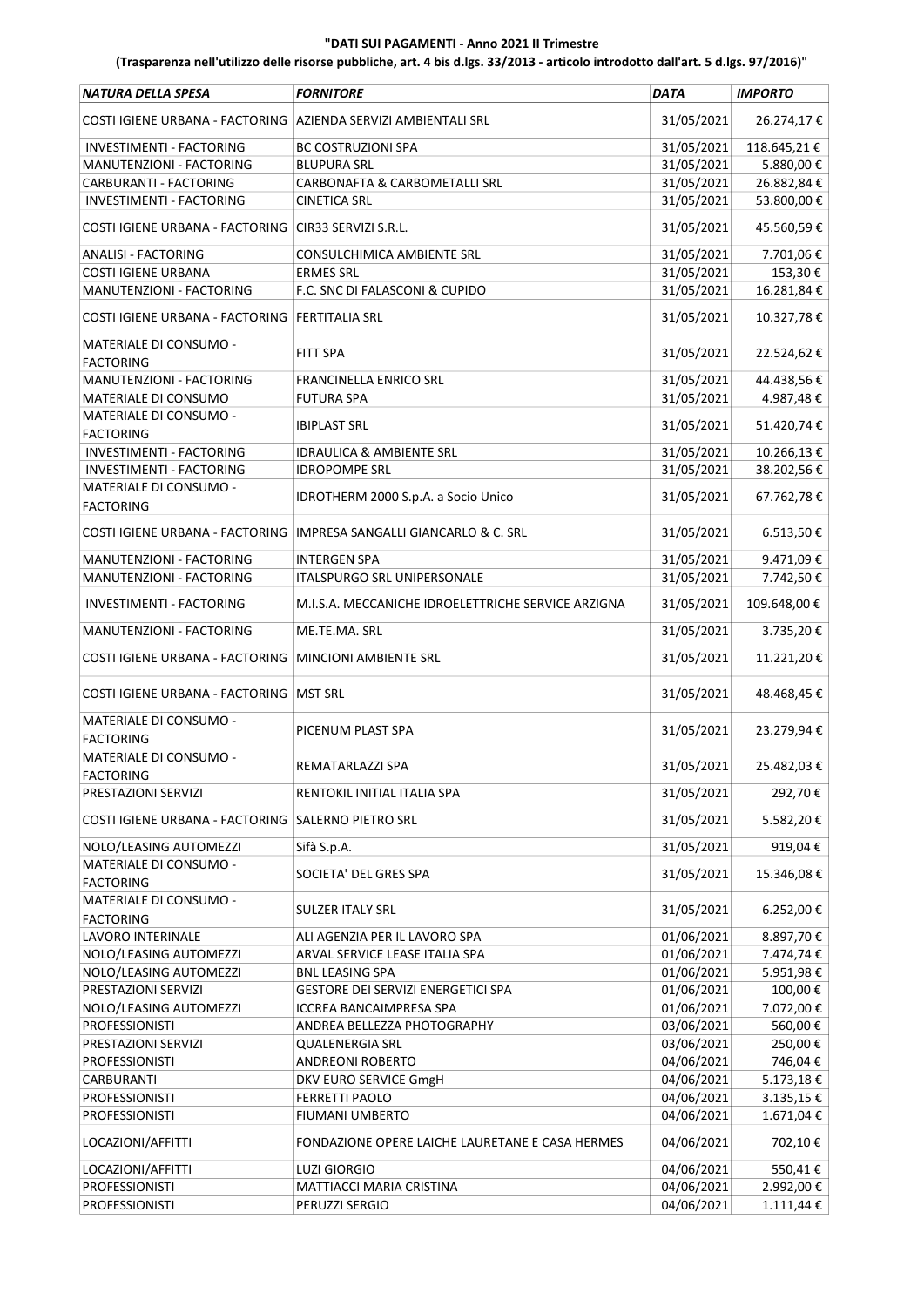| NATURA DELLA SPESA                                             | <b>FORNITORE</b>                                   | <b>DATA</b> | <b>IMPORTO</b> |
|----------------------------------------------------------------|----------------------------------------------------|-------------|----------------|
| COSTI IGIENE URBANA - FACTORING AZIENDA SERVIZI AMBIENTALI SRL |                                                    | 31/05/2021  | 26.274,17€     |
| INVESTIMENTI - FACTORING                                       | <b>BC COSTRUZIONI SPA</b>                          | 31/05/2021  | 118.645,21€    |
| MANUTENZIONI - FACTORING                                       | <b>BLUPURA SRL</b>                                 | 31/05/2021  | 5.880,00€      |
| CARBURANTI - FACTORING                                         | <b>CARBONAFTA &amp; CARBOMETALLI SRL</b>           | 31/05/2021  | 26.882,84€     |
| INVESTIMENTI - FACTORING                                       | <b>CINETICA SRL</b>                                | 31/05/2021  | 53.800,00 €    |
| COSTI IGIENE URBANA - FACTORING CIR33 SERVIZI S.R.L.           |                                                    | 31/05/2021  | 45.560,59€     |
| <b>ANALISI - FACTORING</b>                                     | CONSULCHIMICA AMBIENTE SRL                         | 31/05/2021  | 7.701,06€      |
| <b>COSTI IGIENE URBANA</b>                                     | <b>ERMES SRL</b>                                   | 31/05/2021  | 153,30€        |
| MANUTENZIONI - FACTORING                                       | F.C. SNC DI FALASCONI & CUPIDO                     | 31/05/2021  | 16.281,84€     |
| COSTI IGIENE URBANA - FACTORING   FERTITALIA SRL               |                                                    | 31/05/2021  | 10.327,78€     |
| MATERIALE DI CONSUMO -<br><b>FACTORING</b>                     | FITT SPA                                           | 31/05/2021  | 22.524,62€     |
| MANUTENZIONI - FACTORING                                       | <b>FRANCINELLA ENRICO SRL</b>                      | 31/05/2021  | 44.438,56€     |
| MATERIALE DI CONSUMO                                           | <b>FUTURA SPA</b>                                  | 31/05/2021  | 4.987,48€      |
| MATERIALE DI CONSUMO -<br><b>FACTORING</b>                     | <b>IBIPLAST SRL</b>                                | 31/05/2021  | 51.420,74€     |
| <b>INVESTIMENTI - FACTORING</b>                                | <b>IDRAULICA &amp; AMBIENTE SRL</b>                | 31/05/2021  | 10.266,13€     |
| INVESTIMENTI - FACTORING                                       | <b>IDROPOMPE SRL</b>                               | 31/05/2021  | 38.202,56€     |
| MATERIALE DI CONSUMO -                                         |                                                    |             |                |
| <b>FACTORING</b>                                               | IDROTHERM 2000 S.p.A. a Socio Unico                | 31/05/2021  | 67.762,78€     |
| COSTI IGIENE URBANA - FACTORING                                | <b>IMPRESA SANGALLI GIANCARLO &amp; C. SRL</b>     | 31/05/2021  | 6.513,50€      |
| MANUTENZIONI - FACTORING                                       | INTERGEN SPA                                       | 31/05/2021  | 9.471,09€      |
| MANUTENZIONI - FACTORING                                       | <b>ITALSPURGO SRL UNIPERSONALE</b>                 | 31/05/2021  | 7.742,50€      |
| INVESTIMENTI - FACTORING                                       | M.I.S.A. MECCANICHE IDROELETTRICHE SERVICE ARZIGNA | 31/05/2021  | 109.648,00€    |
| MANUTENZIONI - FACTORING                                       | ME.TE.MA. SRL                                      | 31/05/2021  | 3.735,20€      |
| COSTI IGIENE URBANA - FACTORING                                | <b>MINCIONI AMBIENTE SRL</b>                       | 31/05/2021  | 11.221,20€     |
| COSTI IGIENE URBANA - FACTORING MST SRL                        |                                                    | 31/05/2021  | 48.468,45€     |
| MATERIALE DI CONSUMO -<br><b>FACTORING</b>                     | PICENUM PLAST SPA                                  | 31/05/2021  | 23.279,94€     |
| MATERIALE DI CONSUMO -<br>FACTORING                            | REMATARLAZZI SPA                                   | 31/05/2021  | 25.482,03€     |
| PRESTAZIONI SERVIZI                                            | RENTOKIL INITIAL ITALIA SPA                        | 31/05/2021  | 292,70€        |
| COSTI IGIENE URBANA - FACTORING SALERNO PIETRO SRL             |                                                    | 31/05/2021  | 5.582,20€      |
|                                                                |                                                    |             |                |
| NOLO/LEASING AUTOMEZZI<br>MATERIALE DI CONSUMO -               | Sifà S.p.A.                                        | 31/05/2021  | 919,04€        |
| <b>FACTORING</b>                                               | SOCIETA' DEL GRES SPA                              | 31/05/2021  | 15.346,08€     |
| MATERIALE DI CONSUMO -<br><b>FACTORING</b>                     | <b>SULZER ITALY SRL</b>                            | 31/05/2021  | 6.252,00€      |
| LAVORO INTERINALE                                              | ALI AGENZIA PER IL LAVORO SPA                      | 01/06/2021  | 8.897,70€      |
| NOLO/LEASING AUTOMEZZI                                         | ARVAL SERVICE LEASE ITALIA SPA                     | 01/06/2021  | 7.474,74€      |
| NOLO/LEASING AUTOMEZZI                                         | <b>BNL LEASING SPA</b>                             | 01/06/2021  | 5.951,98€      |
| PRESTAZIONI SERVIZI                                            | GESTORE DEI SERVIZI ENERGETICI SPA                 | 01/06/2021  | 100,00€        |
| NOLO/LEASING AUTOMEZZI                                         | ICCREA BANCAIMPRESA SPA                            | 01/06/2021  | 7.072,00€      |
| <b>PROFESSIONISTI</b>                                          | ANDREA BELLEZZA PHOTOGRAPHY                        | 03/06/2021  | 560,00€        |
| PRESTAZIONI SERVIZI                                            | <b>QUALENERGIA SRL</b>                             | 03/06/2021  | 250,00€        |
| <b>PROFESSIONISTI</b>                                          | ANDREONI ROBERTO                                   | 04/06/2021  | 746,04€        |
| <b>CARBURANTI</b>                                              | DKV EURO SERVICE GmgH                              | 04/06/2021  | 5.173,18€      |
| PROFESSIONISTI                                                 | <b>FERRETTI PAOLO</b>                              | 04/06/2021  | 3.135,15€      |
| <b>PROFESSIONISTI</b>                                          | <b>FIUMANI UMBERTO</b>                             | 04/06/2021  | 1.671,04€      |
| LOCAZIONI/AFFITTI                                              | FONDAZIONE OPERE LAICHE LAURETANE E CASA HERMES    | 04/06/2021  | 702,10€        |
| LOCAZIONI/AFFITTI                                              | <b>LUZI GIORGIO</b>                                | 04/06/2021  | 550,41€        |
| <b>PROFESSIONISTI</b>                                          | MATTIACCI MARIA CRISTINA                           | 04/06/2021  | 2.992,00€      |
| <b>PROFESSIONISTI</b>                                          | PERUZZI SERGIO                                     | 04/06/2021  | $1.111,44 \in$ |
|                                                                |                                                    |             |                |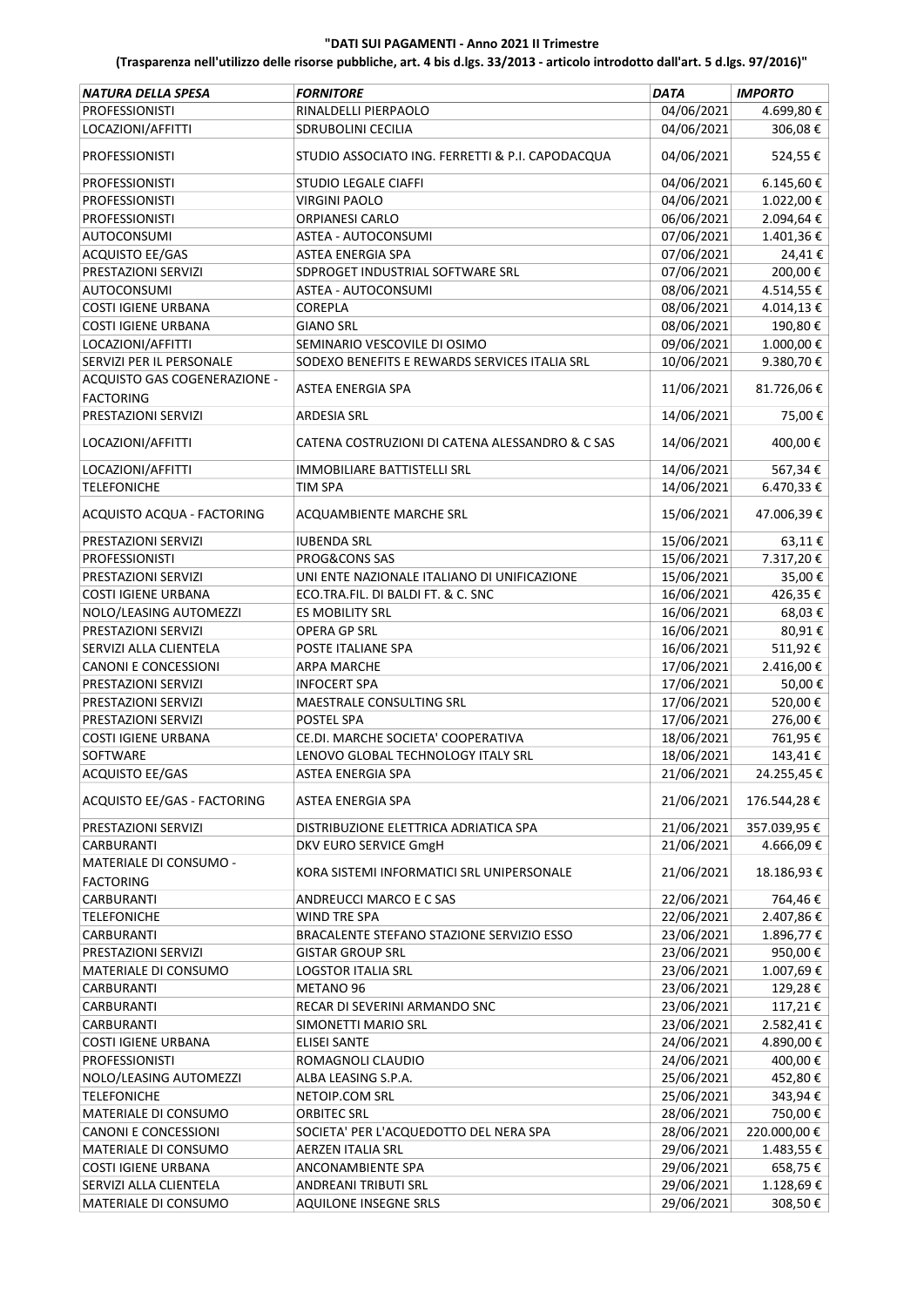| NATURA DELLA SPESA           | <b>FORNITORE</b>                                 | <b>DATA</b> | <b>IMPORTO</b> |
|------------------------------|--------------------------------------------------|-------------|----------------|
| <b>PROFESSIONISTI</b>        | RINALDELLI PIERPAOLO                             | 04/06/2021  | 4.699,80€      |
| LOCAZIONI/AFFITTI            | <b>SDRUBOLINI CECILIA</b>                        | 04/06/2021  | 306,08€        |
| PROFESSIONISTI               | STUDIO ASSOCIATO ING. FERRETTI & P.I. CAPODACQUA | 04/06/2021  | 524,55€        |
| <b>PROFESSIONISTI</b>        | <b>STUDIO LEGALE CIAFFI</b>                      | 04/06/2021  | 6.145,60€      |
| <b>PROFESSIONISTI</b>        | <b>VIRGINI PAOLO</b>                             | 04/06/2021  | 1.022,00€      |
| <b>PROFESSIONISTI</b>        | <b>ORPIANESI CARLO</b>                           | 06/06/2021  | 2.094,64€      |
| <b>AUTOCONSUMI</b>           | <b>ASTEA - AUTOCONSUMI</b>                       | 07/06/2021  | 1.401,36€      |
| ACQUISTO EE/GAS              | <b>ASTEA ENERGIA SPA</b>                         | 07/06/2021  | 24,41€         |
| PRESTAZIONI SERVIZI          | SDPROGET INDUSTRIAL SOFTWARE SRL                 | 07/06/2021  | 200,00€        |
| <b>AUTOCONSUMI</b>           | ASTEA - AUTOCONSUMI                              | 08/06/2021  | 4.514,55€      |
| <b>COSTI IGIENE URBANA</b>   | COREPLA                                          | 08/06/2021  | 4.014,13€      |
| <b>COSTI IGIENE URBANA</b>   | <b>GIANO SRL</b>                                 | 08/06/2021  | 190,80€        |
| LOCAZIONI/AFFITTI            | SEMINARIO VESCOVILE DI OSIMO                     | 09/06/2021  | 1.000,00€      |
| SERVIZI PER IL PERSONALE     | SODEXO BENEFITS E REWARDS SERVICES ITALIA SRL    | 10/06/2021  | 9.380,70€      |
| ACQUISTO GAS COGENERAZIONE - |                                                  |             |                |
| <b>FACTORING</b>             | ASTEA ENERGIA SPA                                | 11/06/2021  | 81.726,06€     |
| PRESTAZIONI SERVIZI          | <b>ARDESIA SRL</b>                               | 14/06/2021  | 75,00€         |
| LOCAZIONI/AFFITTI            | CATENA COSTRUZIONI DI CATENA ALESSANDRO & C SAS  | 14/06/2021  | 400,00€        |
| LOCAZIONI/AFFITTI            | <b>IMMOBILIARE BATTISTELLI SRL</b>               | 14/06/2021  | 567,34€        |
| <b>TELEFONICHE</b>           | <b>TIM SPA</b>                                   | 14/06/2021  | 6.470,33€      |
| ACQUISTO ACQUA - FACTORING   | ACQUAMBIENTE MARCHE SRL                          | 15/06/2021  | 47.006,39€     |
| PRESTAZIONI SERVIZI          | <b>IUBENDA SRL</b>                               | 15/06/2021  | 63,11€         |
| <b>PROFESSIONISTI</b>        | PROG&CONS SAS                                    | 15/06/2021  | 7.317,20€      |
| PRESTAZIONI SERVIZI          | UNI ENTE NAZIONALE ITALIANO DI UNIFICAZIONE      | 15/06/2021  | 35,00€         |
| <b>COSTI IGIENE URBANA</b>   | ECO.TRA.FIL. DI BALDI FT. & C. SNC               | 16/06/2021  | 426,35€        |
| NOLO/LEASING AUTOMEZZI       | ES MOBILITY SRL                                  | 16/06/2021  | 68,03€         |
| PRESTAZIONI SERVIZI          | OPERA GP SRL                                     | 16/06/2021  | 80,91€         |
| SERVIZI ALLA CLIENTELA       | POSTE ITALIANE SPA                               | 16/06/2021  | 511,92€        |
| CANONI E CONCESSIONI         | <b>ARPA MARCHE</b>                               | 17/06/2021  | 2.416,00€      |
| PRESTAZIONI SERVIZI          | <b>INFOCERT SPA</b>                              | 17/06/2021  | 50,00€         |
| PRESTAZIONI SERVIZI          | MAESTRALE CONSULTING SRL                         | 17/06/2021  | 520,00€        |
| PRESTAZIONI SERVIZI          | POSTEL SPA                                       | 17/06/2021  | 276,00€        |
| <b>COSTI IGIENE URBANA</b>   | CE.DI. MARCHE SOCIETA' COOPERATIVA               | 18/06/2021  | 761,95€        |
| SOFTWARE                     | LENOVO GLOBAL TECHNOLOGY ITALY SRL               | 18/06/2021  | 143,41€        |
| ACQUISTO EE/GAS              | ASTEA ENERGIA SPA                                | 21/06/2021  | 24.255,45€     |
| ACQUISTO EE/GAS - FACTORING  | <b>ASTEA ENERGIA SPA</b>                         | 21/06/2021  | 176.544,28€    |
| PRESTAZIONI SERVIZI          | DISTRIBUZIONE ELETTRICA ADRIATICA SPA            | 21/06/2021  | 357.039,95€    |
| CARBURANTI                   | DKV EURO SERVICE GmgH                            | 21/06/2021  | 4.666,09€      |
| MATERIALE DI CONSUMO -       |                                                  |             |                |
| <b>FACTORING</b>             | KORA SISTEMI INFORMATICI SRL UNIPERSONALE        | 21/06/2021  | 18.186,93€     |
| CARBURANTI                   | ANDREUCCI MARCO E C SAS                          | 22/06/2021  | 764,46€        |
| <b>TELEFONICHE</b>           | WIND TRE SPA                                     | 22/06/2021  | 2.407,86€      |
| CARBURANTI                   | BRACALENTE STEFANO STAZIONE SERVIZIO ESSO        | 23/06/2021  | 1.896,77€      |
| PRESTAZIONI SERVIZI          | <b>GISTAR GROUP SRL</b>                          | 23/06/2021  | 950,00€        |
| MATERIALE DI CONSUMO         | <b>LOGSTOR ITALIA SRL</b>                        | 23/06/2021  | 1.007,69€      |
| CARBURANTI                   | METANO 96                                        | 23/06/2021  | 129,28€        |
| CARBURANTI                   | RECAR DI SEVERINI ARMANDO SNC                    | 23/06/2021  | 117,21€        |
| <b>CARBURANTI</b>            | SIMONETTI MARIO SRL                              | 23/06/2021  | 2.582,41€      |
| <b>COSTI IGIENE URBANA</b>   | <b>ELISEI SANTE</b>                              | 24/06/2021  | 4.890,00 €     |
| PROFESSIONISTI               | ROMAGNOLI CLAUDIO                                | 24/06/2021  | 400,00€        |
| NOLO/LEASING AUTOMEZZI       | ALBA LEASING S.P.A.                              | 25/06/2021  | 452,80€        |
| <b>TELEFONICHE</b>           | NETOIP.COM SRL                                   | 25/06/2021  | 343,94€        |
| MATERIALE DI CONSUMO         | ORBITEC SRL                                      | 28/06/2021  | 750,00€        |
| CANONI E CONCESSIONI         | SOCIETA' PER L'ACQUEDOTTO DEL NERA SPA           | 28/06/2021  | 220.000,00€    |
| MATERIALE DI CONSUMO         | <b>AERZEN ITALIA SRL</b>                         | 29/06/2021  | 1.483,55 €     |
| COSTI IGIENE URBANA          | ANCONAMBIENTE SPA                                | 29/06/2021  | 658,75€        |
| SERVIZI ALLA CLIENTELA       | ANDREANI TRIBUTI SRL                             | 29/06/2021  | 1.128,69€      |
| MATERIALE DI CONSUMO         | <b>AQUILONE INSEGNE SRLS</b>                     | 29/06/2021  | 308,50€        |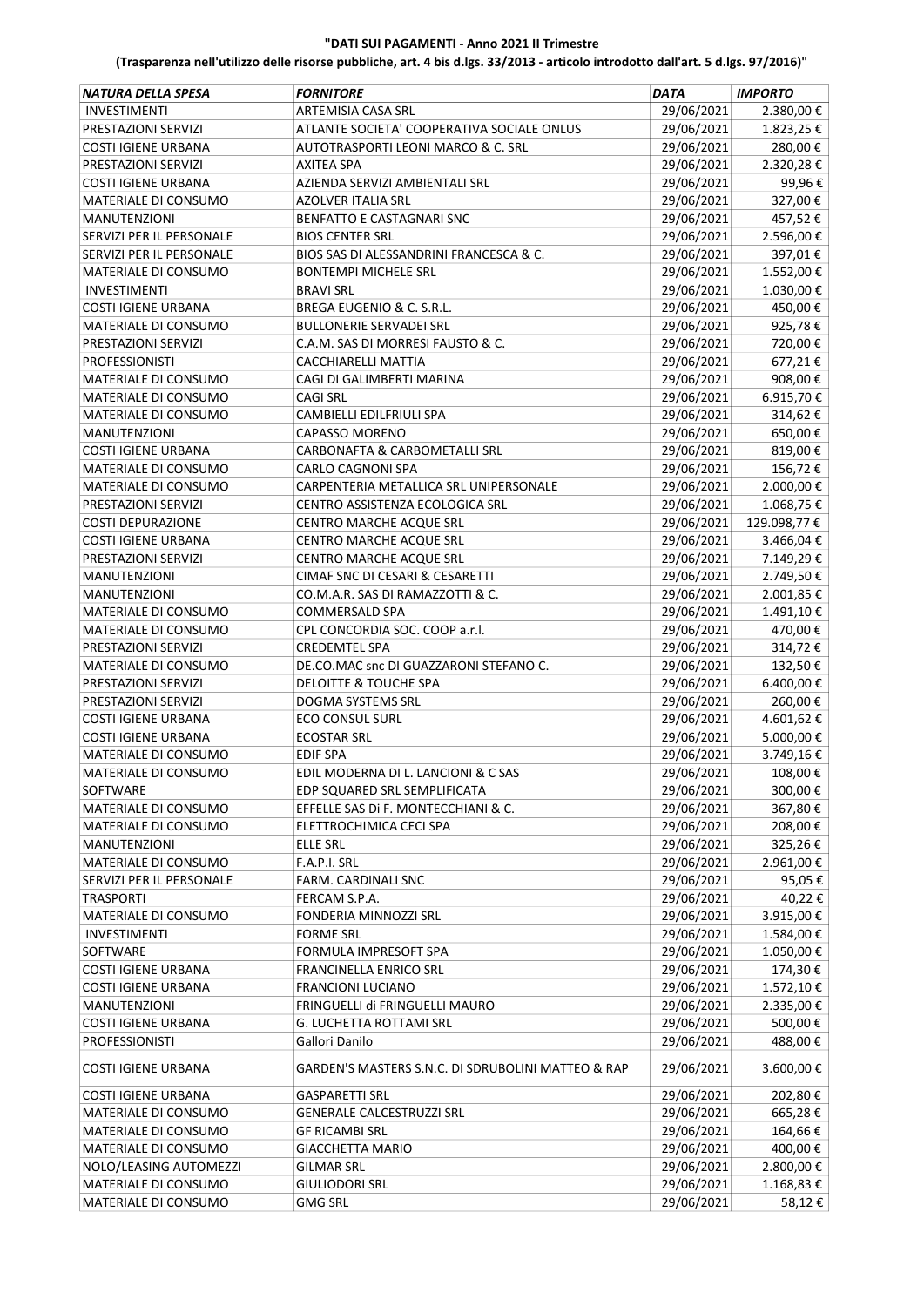| NATURA DELLA SPESA          | <b>FORNITORE</b>                                   | <b>DATA</b> | <b>IMPORTO</b> |
|-----------------------------|----------------------------------------------------|-------------|----------------|
| <b>INVESTIMENTI</b>         | ARTEMISIA CASA SRL                                 | 29/06/2021  | 2.380,00€      |
| PRESTAZIONI SERVIZI         | ATLANTE SOCIETA' COOPERATIVA SOCIALE ONLUS         | 29/06/2021  | 1.823,25€      |
| <b>COSTI IGIENE URBANA</b>  | AUTOTRASPORTI LEONI MARCO & C. SRL                 | 29/06/2021  | 280,00€        |
| PRESTAZIONI SERVIZI         | <b>AXITEA SPA</b>                                  | 29/06/2021  | 2.320,28€      |
| COSTI IGIENE URBANA         | AZIENDA SERVIZI AMBIENTALI SRL                     | 29/06/2021  | 99,96€         |
|                             |                                                    | 29/06/2021  | 327,00€        |
| MATERIALE DI CONSUMO        | AZOLVER ITALIA SRL                                 |             |                |
| <b>MANUTENZIONI</b>         | <b>BENFATTO E CASTAGNARI SNC</b>                   | 29/06/2021  | 457,52€        |
| SERVIZI PER IL PERSONALE    | <b>BIOS CENTER SRL</b>                             | 29/06/2021  | 2.596,00€      |
| SERVIZI PER IL PERSONALE    | BIOS SAS DI ALESSANDRINI FRANCESCA & C.            | 29/06/2021  | 397,01€        |
| <b>MATERIALE DI CONSUMO</b> | <b>BONTEMPI MICHELE SRL</b>                        | 29/06/2021  | 1.552,00€      |
| <b>INVESTIMENTI</b>         | <b>BRAVI SRL</b>                                   | 29/06/2021  | 1.030,00€      |
| COSTI IGIENE URBANA         | BREGA EUGENIO & C. S.R.L.                          | 29/06/2021  | 450,00€        |
| MATERIALE DI CONSUMO        | <b>BULLONERIE SERVADEI SRL</b>                     | 29/06/2021  | 925,78€        |
| PRESTAZIONI SERVIZI         | C.A.M. SAS DI MORRESI FAUSTO & C.                  | 29/06/2021  | 720,00€        |
| <b>PROFESSIONISTI</b>       | CACCHIARELLI MATTIA                                | 29/06/2021  | 677,21€        |
| MATERIALE DI CONSUMO        | CAGI DI GALIMBERTI MARINA                          | 29/06/2021  | 908,00€        |
| <b>MATERIALE DI CONSUMO</b> | <b>CAGI SRL</b>                                    | 29/06/2021  | 6.915,70€      |
| MATERIALE DI CONSUMO        | CAMBIELLI EDILFRIULI SPA                           | 29/06/2021  | 314,62€        |
| <b>MANUTENZIONI</b>         | <b>CAPASSO MORENO</b>                              | 29/06/2021  | 650,00€        |
| <b>COSTI IGIENE URBANA</b>  | CARBONAFTA & CARBOMETALLI SRL                      | 29/06/2021  | 819,00€        |
| <b>MATERIALE DI CONSUMO</b> | CARLO CAGNONI SPA                                  | 29/06/2021  | 156,72€        |
| MATERIALE DI CONSUMO        | CARPENTERIA METALLICA SRL UNIPERSONALE             | 29/06/2021  | 2.000,00€      |
| PRESTAZIONI SERVIZI         | CENTRO ASSISTENZA ECOLOGICA SRL                    | 29/06/2021  | 1.068,75€      |
| <b>COSTI DEPURAZIONE</b>    | CENTRO MARCHE ACQUE SRL                            | 29/06/2021  | 129.098,77€    |
| COSTI IGIENE URBANA         | CENTRO MARCHE ACQUE SRL                            | 29/06/2021  | 3.466,04€      |
| PRESTAZIONI SERVIZI         | CENTRO MARCHE ACQUE SRL                            | 29/06/2021  | 7.149,29€      |
| <b>MANUTENZIONI</b>         | CIMAF SNC DI CESARI & CESARETTI                    | 29/06/2021  | 2.749,50€      |
| <b>MANUTENZIONI</b>         | CO.M.A.R. SAS DI RAMAZZOTTI & C.                   | 29/06/2021  | 2.001,85€      |
| MATERIALE DI CONSUMO        | <b>COMMERSALD SPA</b>                              | 29/06/2021  | 1.491,10€      |
| MATERIALE DI CONSUMO        | CPL CONCORDIA SOC. COOP a.r.l.                     | 29/06/2021  | 470,00€        |
| PRESTAZIONI SERVIZI         | <b>CREDEMTEL SPA</b>                               | 29/06/2021  | 314,72€        |
| MATERIALE DI CONSUMO        | DE.CO.MAC snc DI GUAZZARONI STEFANO C.             | 29/06/2021  | 132,50€        |
| PRESTAZIONI SERVIZI         | <b>DELOITTE &amp; TOUCHE SPA</b>                   | 29/06/2021  | 6.400,00€      |
| PRESTAZIONI SERVIZI         | DOGMA SYSTEMS SRL                                  | 29/06/2021  | 260,00€        |
| <b>COSTI IGIENE URBANA</b>  | <b>ECO CONSUL SURL</b>                             | 29/06/2021  | 4.601,62€      |
| <b>COSTI IGIENE URBANA</b>  | <b>ECOSTAR SRL</b>                                 | 29/06/2021  | 5.000,00 €     |
| MATERIALE DI CONSUMO        | <b>EDIF SPA</b>                                    | 29/06/2021  | 3.749,16€      |
| MATERIALE DI CONSUMO        | EDIL MODERNA DI L. LANCIONI & C SAS                | 29/06/2021  | 108,00€        |
| SOFTWARE                    | EDP SQUARED SRL SEMPLIFICATA                       | 29/06/2021  | 300,00€        |
| MATERIALE DI CONSUMO        | EFFELLE SAS DI F. MONTECCHIANI & C.                | 29/06/2021  | 367,80€        |
| MATERIALE DI CONSUMO        | ELETTROCHIMICA CECI SPA                            | 29/06/2021  | 208,00€        |
| <b>MANUTENZIONI</b>         | ELLE SRL                                           | 29/06/2021  | 325,26€        |
| MATERIALE DI CONSUMO        | F.A.P.I. SRL                                       | 29/06/2021  | 2.961,00 €     |
| SERVIZI PER IL PERSONALE    | FARM. CARDINALI SNC                                | 29/06/2021  | 95,05€         |
| <b>TRASPORTI</b>            | FERCAM S.P.A.                                      | 29/06/2021  | 40,22€         |
| MATERIALE DI CONSUMO        | FONDERIA MINNOZZI SRL                              | 29/06/2021  | 3.915,00 €     |
| <b>INVESTIMENTI</b>         | <b>FORME SRL</b>                                   | 29/06/2021  | 1.584,00€      |
| <b>SOFTWARE</b>             | FORMULA IMPRESOFT SPA                              | 29/06/2021  | 1.050,00€      |
| <b>COSTI IGIENE URBANA</b>  | FRANCINELLA ENRICO SRL                             | 29/06/2021  | 174,30€        |
| <b>COSTI IGIENE URBANA</b>  | <b>FRANCIONI LUCIANO</b>                           | 29/06/2021  | 1.572,10€      |
| <b>MANUTENZIONI</b>         | FRINGUELLI di FRINGUELLI MAURO                     | 29/06/2021  | 2.335,00 €     |
| COSTI IGIENE URBANA         | G. LUCHETTA ROTTAMI SRL                            | 29/06/2021  | 500,00€        |
| <b>PROFESSIONISTI</b>       | Gallori Danilo                                     | 29/06/2021  | 488,00€        |
| COSTI IGIENE URBANA         | GARDEN'S MASTERS S.N.C. DI SDRUBOLINI MATTEO & RAP | 29/06/2021  | 3.600,00€      |
| <b>COSTI IGIENE URBANA</b>  | GASPARETTI SRL                                     | 29/06/2021  | 202,80€        |
| MATERIALE DI CONSUMO        | <b>GENERALE CALCESTRUZZI SRL</b>                   | 29/06/2021  | 665,28€        |
| MATERIALE DI CONSUMO        | <b>GF RICAMBI SRL</b>                              | 29/06/2021  | 164,66€        |
| MATERIALE DI CONSUMO        | <b>GIACCHETTA MARIO</b>                            | 29/06/2021  | 400,00€        |
| NOLO/LEASING AUTOMEZZI      | <b>GILMAR SRL</b>                                  | 29/06/2021  | 2.800,00 €     |
| MATERIALE DI CONSUMO        | <b>GIULIODORI SRL</b>                              | 29/06/2021  | 1.168,83€      |
| MATERIALE DI CONSUMO        | <b>GMG SRL</b>                                     | 29/06/2021  | 58,12€         |
|                             |                                                    |             |                |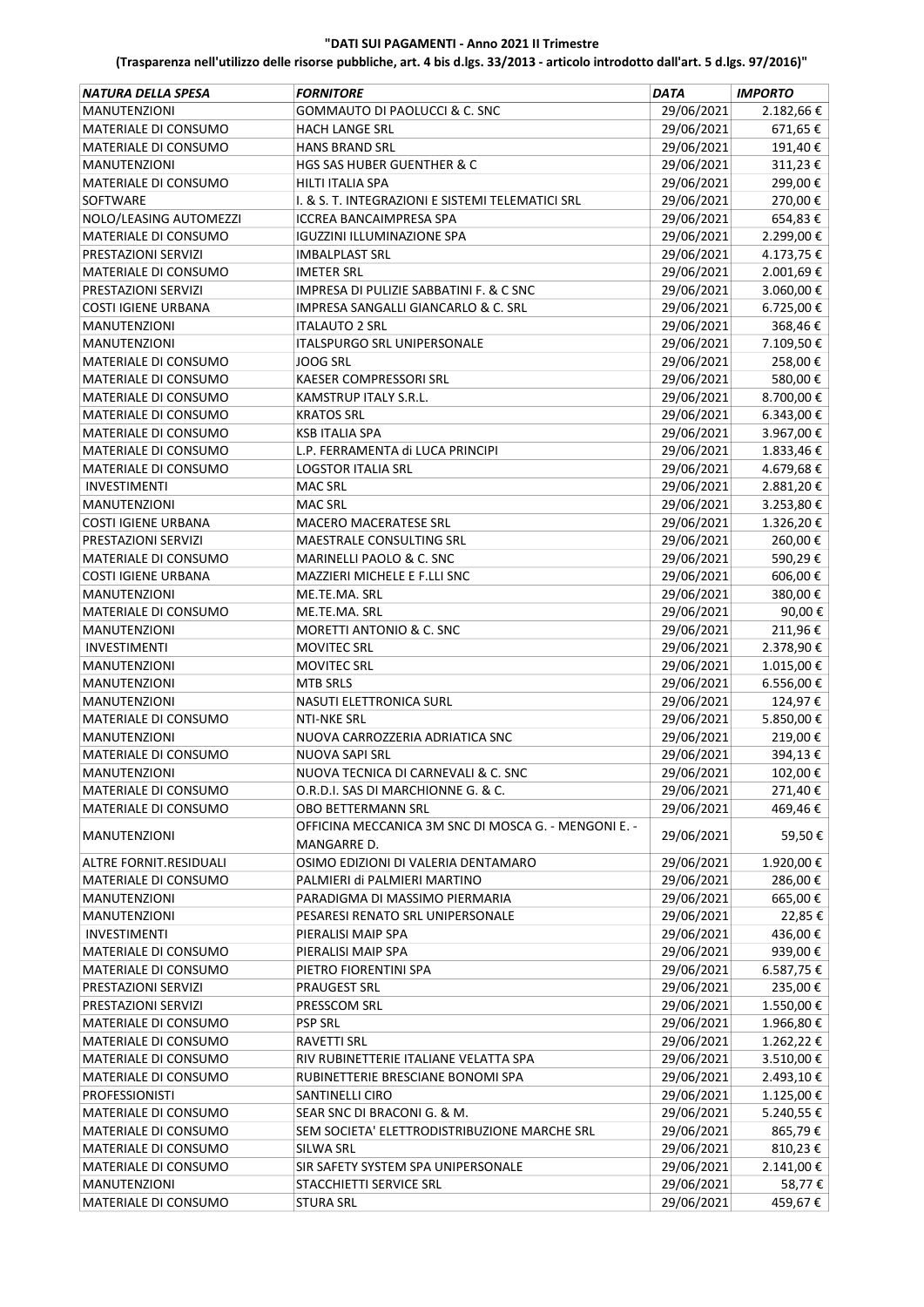| NATURA DELLA SPESA          | <b>FORNITORE</b>                                     | <b>DATA</b> | <b>IMPORTO</b> |
|-----------------------------|------------------------------------------------------|-------------|----------------|
| <b>MANUTENZIONI</b>         | GOMMAUTO DI PAOLUCCI & C. SNC                        | 29/06/2021  | 2.182,66€      |
| MATERIALE DI CONSUMO        | <b>HACH LANGE SRL</b>                                | 29/06/2021  | 671,65€        |
| MATERIALE DI CONSUMO        | HANS BRAND SRL                                       | 29/06/2021  | 191,40€        |
| <b>MANUTENZIONI</b>         | HGS SAS HUBER GUENTHER & C                           | 29/06/2021  | 311,23€        |
| MATERIALE DI CONSUMO        | HILTI ITALIA SPA                                     | 29/06/2021  | 299,00€        |
| SOFTWARE                    | I. & S. T. INTEGRAZIONI E SISTEMI TELEMATICI SRL     | 29/06/2021  | 270,00€        |
| NOLO/LEASING AUTOMEZZI      | <b>ICCREA BANCAIMPRESA SPA</b>                       | 29/06/2021  | 654,83€        |
| MATERIALE DI CONSUMO        | <b>IGUZZINI ILLUMINAZIONE SPA</b>                    | 29/06/2021  | 2.299,00€      |
| PRESTAZIONI SERVIZI         | <b>IMBALPLAST SRL</b>                                | 29/06/2021  | 4.173,75€      |
| MATERIALE DI CONSUMO        | <b>IMETER SRL</b>                                    | 29/06/2021  | 2.001,69€      |
| PRESTAZIONI SERVIZI         | <b>IMPRESA DI PULIZIE SABBATINI F. &amp; C SNC</b>   | 29/06/2021  | 3.060,00€      |
| <b>COSTI IGIENE URBANA</b>  | <b>IMPRESA SANGALLI GIANCARLO &amp; C. SRL</b>       | 29/06/2021  | 6.725,00€      |
| <b>MANUTENZIONI</b>         | <b>ITALAUTO 2 SRL</b>                                | 29/06/2021  | 368,46€        |
| <b>MANUTENZIONI</b>         | <b>ITALSPURGO SRL UNIPERSONALE</b>                   |             | 7.109,50€      |
|                             | <b>JOOG SRL</b>                                      | 29/06/2021  |                |
| MATERIALE DI CONSUMO        |                                                      | 29/06/2021  | 258,00€        |
| MATERIALE DI CONSUMO        | KAESER COMPRESSORI SRL                               | 29/06/2021  | 580,00€        |
| MATERIALE DI CONSUMO        | <b>KAMSTRUP ITALY S.R.L.</b>                         | 29/06/2021  | 8.700,00€      |
| MATERIALE DI CONSUMO        | <b>KRATOS SRL</b>                                    | 29/06/2021  | 6.343,00€      |
| MATERIALE DI CONSUMO        | KSB ITALIA SPA                                       | 29/06/2021  | 3.967,00€      |
| MATERIALE DI CONSUMO        | L.P. FERRAMENTA di LUCA PRINCIPI                     | 29/06/2021  | 1.833,46€      |
| <b>MATERIALE DI CONSUMO</b> | <b>LOGSTOR ITALIA SRL</b>                            | 29/06/2021  | 4.679,68€      |
| <b>INVESTIMENTI</b>         | MAC SRL                                              | 29/06/2021  | 2.881,20€      |
| <b>MANUTENZIONI</b>         | <b>MAC SRL</b>                                       | 29/06/2021  | 3.253,80€      |
| <b>COSTI IGIENE URBANA</b>  | <b>MACERO MACERATESE SRL</b>                         | 29/06/2021  | 1.326,20€      |
| PRESTAZIONI SERVIZI         | MAESTRALE CONSULTING SRL                             | 29/06/2021  | 260,00€        |
| MATERIALE DI CONSUMO        | MARINELLI PAOLO & C. SNC                             | 29/06/2021  | 590,29€        |
| <b>COSTI IGIENE URBANA</b>  | MAZZIERI MICHELE E F.LLI SNC                         | 29/06/2021  | 606,00€        |
| <b>MANUTENZIONI</b>         | ME.TE.MA. SRL                                        | 29/06/2021  | 380,00€        |
| MATERIALE DI CONSUMO        | ME.TE.MA. SRL                                        | 29/06/2021  | 90,00€         |
| <b>MANUTENZIONI</b>         | MORETTI ANTONIO & C. SNC                             | 29/06/2021  | 211,96€        |
| <b>INVESTIMENTI</b>         | <b>MOVITEC SRL</b>                                   | 29/06/2021  | 2.378,90€      |
| <b>MANUTENZIONI</b>         | <b>MOVITEC SRL</b>                                   | 29/06/2021  | 1.015,00€      |
| <b>MANUTENZIONI</b>         | <b>MTB SRLS</b>                                      | 29/06/2021  | 6.556,00€      |
| <b>MANUTENZIONI</b>         | NASUTI ELETTRONICA SURL                              | 29/06/2021  | 124,97€        |
| MATERIALE DI CONSUMO        | <b>NTI-NKE SRL</b>                                   | 29/06/2021  | 5.850,00€      |
| <b>MANUTENZIONI</b>         | NUOVA CARROZZERIA ADRIATICA SNC                      | 29/06/2021  | 219,00€        |
| MATERIALE DI CONSUMO        | NUOVA SAPI SRL                                       | 29/06/2021  | 394,13€        |
| <b>MANUTENZIONI</b>         | NUOVA TECNICA DI CARNEVALI & C. SNC                  | 29/06/2021  | 102,00 €       |
| MATERIALE DI CONSUMO        | O.R.D.I. SAS DI MARCHIONNE G. & C.                   | 29/06/2021  | 271,40€        |
| <b>MATERIALE DI CONSUMO</b> | OBO BETTERMANN SRL                                   | 29/06/2021  | 469,46€        |
|                             | OFFICINA MECCANICA 3M SNC DI MOSCA G. - MENGONI E. - |             |                |
| <b>MANUTENZIONI</b>         | MANGARRE D.                                          | 29/06/2021  | 59,50€         |
| ALTRE FORNIT.RESIDUALI      | OSIMO EDIZIONI DI VALERIA DENTAMARO                  | 29/06/2021  | 1.920,00€      |
| MATERIALE DI CONSUMO        | PALMIERI di PALMIERI MARTINO                         | 29/06/2021  | 286,00€        |
| <b>MANUTENZIONI</b>         | PARADIGMA DI MASSIMO PIERMARIA                       | 29/06/2021  | 665,00€        |
| <b>MANUTENZIONI</b>         | PESARESI RENATO SRL UNIPERSONALE                     | 29/06/2021  | 22,85€         |
|                             |                                                      |             |                |
| <b>INVESTIMENTI</b>         | PIERALISI MAIP SPA                                   | 29/06/2021  | 436,00€        |
| MATERIALE DI CONSUMO        | PIERALISI MAIP SPA                                   | 29/06/2021  | 939,00€        |
| MATERIALE DI CONSUMO        | PIETRO FIORENTINI SPA                                | 29/06/2021  | 6.587,75€      |
| PRESTAZIONI SERVIZI         | PRAUGEST SRL                                         | 29/06/2021  | 235,00€        |
| PRESTAZIONI SERVIZI         | PRESSCOM SRL                                         | 29/06/2021  | 1.550,00€      |
| MATERIALE DI CONSUMO        | <b>PSP SRL</b>                                       | 29/06/2021  | 1.966,80€      |
| MATERIALE DI CONSUMO        | RAVETTI SRL                                          | 29/06/2021  | 1.262,22€      |
| MATERIALE DI CONSUMO        | RIV RUBINETTERIE ITALIANE VELATTA SPA                | 29/06/2021  | 3.510,00 €     |
| MATERIALE DI CONSUMO        | RUBINETTERIE BRESCIANE BONOMI SPA                    | 29/06/2021  | 2.493,10€      |
| <b>PROFESSIONISTI</b>       | SANTINELLI CIRO                                      | 29/06/2021  | 1.125,00€      |
| MATERIALE DI CONSUMO        | SEAR SNC DI BRACONI G. & M.                          | 29/06/2021  | 5.240,55 €     |
| MATERIALE DI CONSUMO        | SEM SOCIETA' ELETTRODISTRIBUZIONE MARCHE SRL         | 29/06/2021  | 865,79€        |
| MATERIALE DI CONSUMO        | <b>SILWA SRL</b>                                     | 29/06/2021  | 810,23€        |
| MATERIALE DI CONSUMO        | SIR SAFETY SYSTEM SPA UNIPERSONALE                   | 29/06/2021  | 2.141,00 €     |
| MANUTENZIONI                | STACCHIETTI SERVICE SRL                              | 29/06/2021  | 58,77€         |
| MATERIALE DI CONSUMO        | <b>STURA SRL</b>                                     | 29/06/2021  | 459,67€        |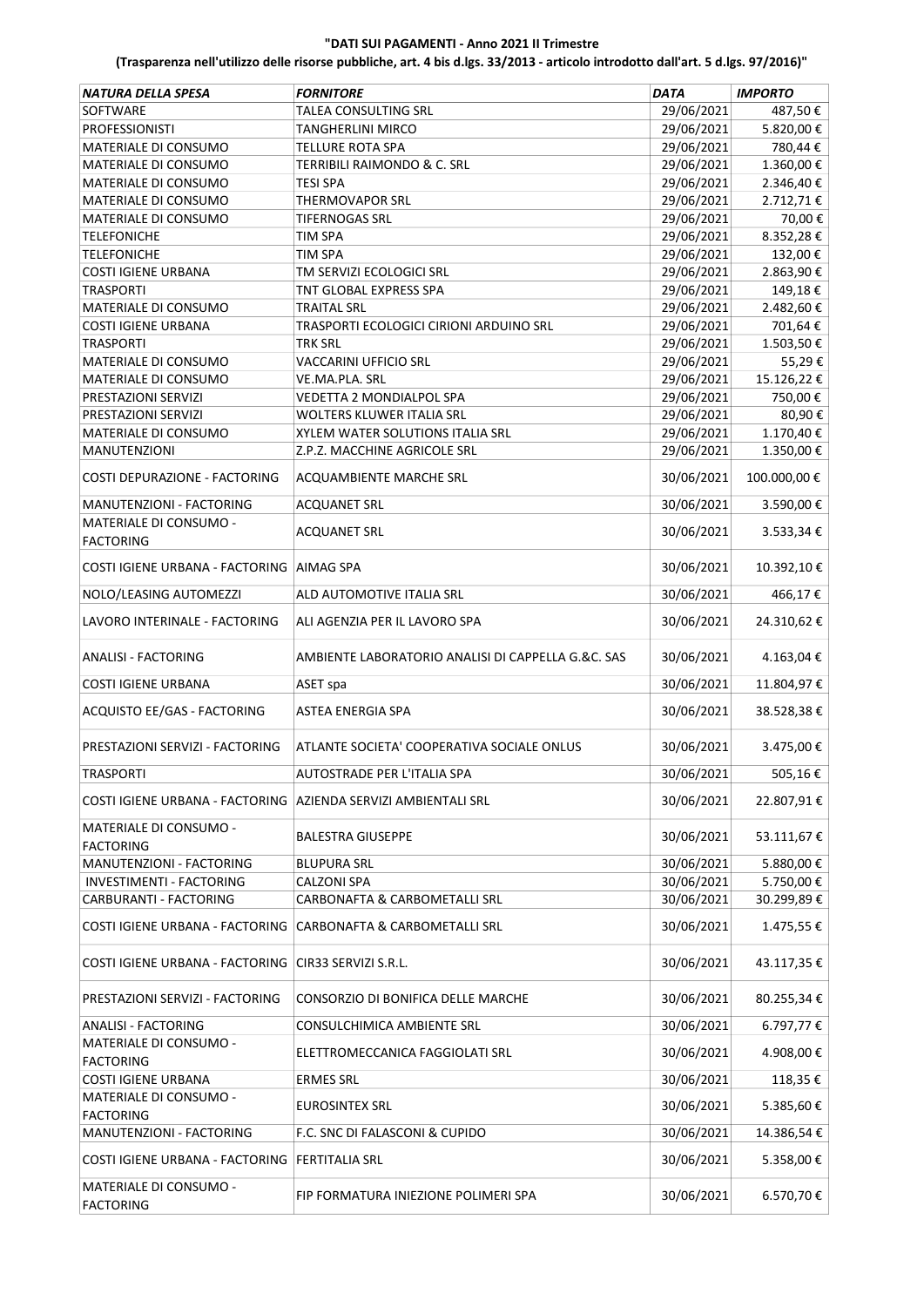| NATURA DELLA SPESA                                             | <b>FORNITORE</b>                                   | DATA       | <b>IMPORTO</b> |
|----------------------------------------------------------------|----------------------------------------------------|------------|----------------|
| <b>SOFTWARE</b>                                                | <b>TALEA CONSULTING SRL</b>                        | 29/06/2021 | 487,50€        |
| PROFESSIONISTI                                                 | <b>TANGHERLINI MIRCO</b>                           | 29/06/2021 | 5.820,00€      |
| MATERIALE DI CONSUMO                                           | <b>TELLURE ROTA SPA</b>                            | 29/06/2021 | 780,44€        |
| MATERIALE DI CONSUMO                                           | TERRIBILI RAIMONDO & C. SRL                        | 29/06/2021 | 1.360,00€      |
| MATERIALE DI CONSUMO                                           | <b>TESI SPA</b>                                    | 29/06/2021 | 2.346,40€      |
| MATERIALE DI CONSUMO                                           | <b>THERMOVAPOR SRL</b>                             | 29/06/2021 | 2.712,71€      |
| MATERIALE DI CONSUMO                                           | <b>TIFERNOGAS SRL</b>                              | 29/06/2021 | 70,00€         |
| <b>TELEFONICHE</b>                                             | TIM SPA                                            | 29/06/2021 | 8.352,28€      |
| <b>TELEFONICHE</b>                                             | TIM SPA                                            | 29/06/2021 | 132,00€        |
| COSTI IGIENE URBANA                                            | TM SERVIZI ECOLOGICI SRL                           | 29/06/2021 | 2.863,90€      |
| <b>TRASPORTI</b>                                               | TNT GLOBAL EXPRESS SPA                             | 29/06/2021 | 149,18€        |
| MATERIALE DI CONSUMO                                           | <b>TRAITAL SRL</b>                                 | 29/06/2021 | 2.482,60€      |
| COSTI IGIENE URBANA                                            | TRASPORTI ECOLOGICI CIRIONI ARDUINO SRL            | 29/06/2021 | 701,64€        |
| <b>TRASPORTI</b>                                               | TRK SRL                                            | 29/06/2021 | 1.503,50 €     |
| MATERIALE DI CONSUMO                                           | VACCARINI UFFICIO SRL                              | 29/06/2021 | 55,29€         |
| MATERIALE DI CONSUMO                                           | VE.MA.PLA. SRL                                     | 29/06/2021 | 15.126,22€     |
| PRESTAZIONI SERVIZI                                            | VEDETTA 2 MONDIALPOL SPA                           | 29/06/2021 | 750,00€        |
| PRESTAZIONI SERVIZI                                            | WOLTERS KLUWER ITALIA SRL                          | 29/06/2021 | 80,90€         |
| <b>MATERIALE DI CONSUMO</b>                                    | XYLEM WATER SOLUTIONS ITALIA SRL                   | 29/06/2021 | 1.170,40€      |
| <b>MANUTENZIONI</b>                                            | Z.P.Z. MACCHINE AGRICOLE SRL                       | 29/06/2021 | 1.350,00€      |
| COSTI DEPURAZIONE - FACTORING                                  | ACQUAMBIENTE MARCHE SRL                            | 30/06/2021 | 100.000,00€    |
| MANUTENZIONI - FACTORING                                       | <b>ACQUANET SRL</b>                                | 30/06/2021 | 3.590,00€      |
| MATERIALE DI CONSUMO -<br><b>FACTORING</b>                     | <b>ACQUANET SRL</b>                                | 30/06/2021 | 3.533,34€      |
| COSTI IGIENE URBANA - FACTORING                                | <b>AIMAG SPA</b>                                   | 30/06/2021 | 10.392,10€     |
| NOLO/LEASING AUTOMEZZI                                         | ALD AUTOMOTIVE ITALIA SRL                          | 30/06/2021 | 466,17€        |
| LAVORO INTERINALE - FACTORING                                  | ALI AGENZIA PER IL LAVORO SPA                      | 30/06/2021 | 24.310,62€     |
| <b>ANALISI - FACTORING</b>                                     | AMBIENTE LABORATORIO ANALISI DI CAPPELLA G.&C. SAS | 30/06/2021 | 4.163,04€      |
| <b>COSTI IGIENE URBANA</b>                                     | ASET spa                                           | 30/06/2021 | 11.804,97€     |
| ACQUISTO EE/GAS - FACTORING                                    | <b>ASTEA ENERGIA SPA</b>                           | 30/06/2021 | 38.528,38€     |
| PRESTAZIONI SERVIZI - FACTORING                                | ATLANTE SOCIETA' COOPERATIVA SOCIALE ONLUS         | 30/06/2021 | 3.475,00€      |
| <b>TRASPORTI</b>                                               | AUTOSTRADE PER L'ITALIA SPA                        | 30/06/2021 | 505,16€        |
| COSTI IGIENE URBANA - FACTORING AZIENDA SERVIZI AMBIENTALI SRL |                                                    | 30/06/2021 | 22.807,91€     |
| <b>MATERIALE DI CONSUMO -</b><br><b>FACTORING</b>              | <b>BALESTRA GIUSEPPE</b>                           | 30/06/2021 | 53.111,67€     |
| MANUTENZIONI - FACTORING                                       | BLUPURA SRL                                        | 30/06/2021 | 5.880,00€      |
| INVESTIMENTI - FACTORING                                       | CALZONI SPA                                        | 30/06/2021 | 5.750,00€      |
| CARBURANTI - FACTORING                                         | CARBONAFTA & CARBOMETALLI SRL                      | 30/06/2021 | 30.299,89€     |
| COSTI IGIENE URBANA - FACTORING                                | CARBONAFTA & CARBOMETALLI SRL                      | 30/06/2021 | 1.475,55€      |
| COSTI IGIENE URBANA - FACTORING CIR33 SERVIZI S.R.L.           |                                                    | 30/06/2021 | 43.117,35€     |
| PRESTAZIONI SERVIZI - FACTORING                                | CONSORZIO DI BONIFICA DELLE MARCHE                 | 30/06/2021 | 80.255,34€     |
| <b>ANALISI - FACTORING</b>                                     | CONSULCHIMICA AMBIENTE SRL                         | 30/06/2021 | 6.797,77€      |
| MATERIALE DI CONSUMO -<br><b>FACTORING</b>                     | ELETTROMECCANICA FAGGIOLATI SRL                    | 30/06/2021 | 4.908,00€      |
| COSTI IGIENE URBANA                                            | <b>ERMES SRL</b>                                   | 30/06/2021 | 118,35€        |
| MATERIALE DI CONSUMO -                                         |                                                    |            |                |
| <b>FACTORING</b>                                               | EUROSINTEX SRL                                     | 30/06/2021 | 5.385,60€      |
| MANUTENZIONI - FACTORING                                       | F.C. SNC DI FALASCONI & CUPIDO                     | 30/06/2021 | 14.386,54€     |
| COSTI IGIENE URBANA - FACTORING   FERTITALIA SRL               |                                                    | 30/06/2021 | 5.358,00€      |
| MATERIALE DI CONSUMO -                                         | FIP FORMATURA INIEZIONE POLIMERI SPA               | 30/06/2021 | 6.570,70€      |
| <b>FACTORING</b>                                               |                                                    |            |                |